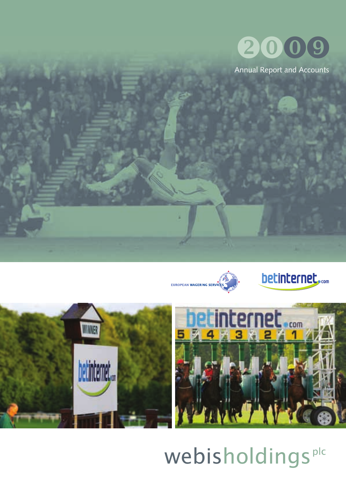

Annual Report and Accounts







# webisholdings<sup>plc</sup>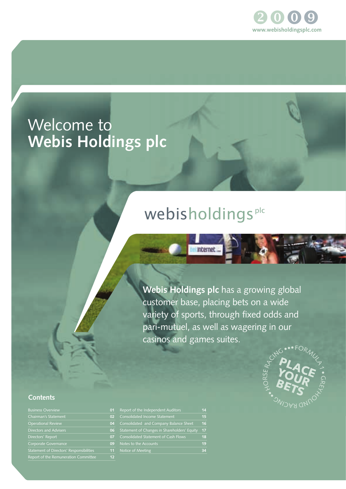

# Welcome to **Webis Holdings plc**

# webisholdings<sup>plc</sup>

**Internet** 

**Webis Holdings plc** has a growing global customer base, placing bets on a wide variety of sports, through fixed odds and pari-mutuel, as well as wagering in our casinos and games suites.



## **Contents**

| <b>Business Overview</b>                 | 01 |
|------------------------------------------|----|
| <b>Chairman's Statement</b>              | 02 |
| <b>Operational Review</b>                | 04 |
| <b>Directors and Advisers</b>            | 06 |
| Directors' Report                        | 07 |
| Corporate Governance                     | 09 |
| Statement of Directors' Responsibilities | 11 |
| Report of the Remuneration Committee     | 12 |

| Report of the Independent Auditors           | 14 |
|----------------------------------------------|----|
| Consolidated Income Statement                | 15 |
| Consolidated and Company Balance Sheet       | 16 |
| Statement of Changes in Shareholders' Equity | 17 |
| <b>Consolidated Statement of Cash Flows</b>  | 18 |
| Notes to the Accounts                        | 19 |
| Notice of Meeting                            | 34 |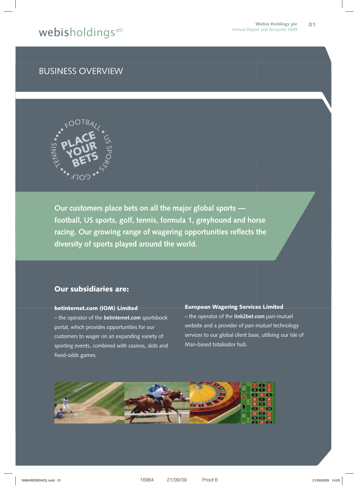# BUSINESS OVERVIEW



**Our customers place bets on all the major global sports football, US sports, golf, tennis, formula 1, greyhound and horse racing. Our growing range of wagering opportunities reflects the diversity of sports played around the world.**

## **Our subsidiaries are:**

## **betinternet.com (IOM) Limited**

– the operator of the **betinternet.com** sportsbook portal, which provides opportunities for our customers to wager on an expanding variety of sporting events, combined with casinos, slots and fixed-odds games.

### **European Wagering Services Limited**

– the operator of the **link2bet.com** pari-mutuel website and a provider of pari-mutuel technology services to our global client base, utilising our Isle of Man-based totalisator hub.

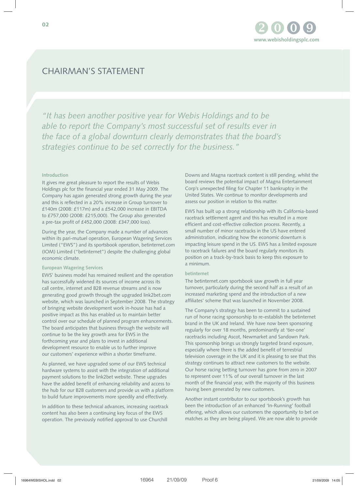

## CHAIRMAN'S STATEMENT

*"It has been another positive year for Webis Holdings and to be able to report the Company's most successful set of results ever in the face of a global downturn clearly demonstrates that the board's strategies continue to be set correctly for the business."*

### **Introduction**

It gives me great pleasure to report the results of Webis Holdings plc for the financial year ended 31 May 2009. The Company has again generated strong growth during the year and this is reflected in a 20% increase in Group turnover to £140m (2008: £117m) and a £542,000 increase in EBITDA to £757,000 (2008: £215,000). The Group also generated a pre-tax profit of £452,000 (2008: £347,000 loss).

During the year, the Company made a number of advances within its pari-mutuel operation, European Wagering Services Limited ("EWS") and its sportsbook operation, betinternet.com (IOM) Limited ("betinternet") despite the challenging global economic climate.

### **European Wagering Services**

EWS' business model has remained resilient and the operation has successfully widened its sources of income across its call centre, internet and B2B revenue streams and is now generating good growth through the upgraded link2bet.com website, which was launched in September 2008. The strategy of bringing website development work in-house has had a positive impact as this has enabled us to maintain better control over our schedule of planned program enhancements. The board anticipates that business through the website will continue to be the key growth area for EWS in the forthcoming year and plans to invest in additional development resource to enable us to further improve our customers' experience within a shorter timeframe.

As planned, we have upgraded some of our EWS technical hardware systems to assist with the integration of additional payment solutions to the link2bet website. These upgrades have the added benefit of enhancing reliability and access to the hub for our B2B customers and provide us with a platform to build future improvements more speedily and effectively.

In addition to these technical advances, increasing racetrack content has also been a continuing key focus of the EWS operation. The previously notified approval to use Churchill

Downs and Magna racetrack content is still pending, whilst the board reviews the potential impact of Magna Entertainment Corp's unexpected filing for Chapter 11 bankruptcy in the United States. We continue to monitor developments and assess our position in relation to this matter.

EWS has built up a strong relationship with its California-based racetrack settlement agent and this has resulted in a more efficient and cost-effective collection process. Recently, a small number of minor racetracks in the US have entered administration, indicating how the economic downturn is impacting leisure spend in the US. EWS has a limited exposure to racetrack failures and the board regularly monitors its position on a track-by-track basis to keep this exposure to a minimum.

#### **betinternet**

The betinternet.com sportsbook saw growth in full year turnover, particularly during the second half as a result of an increased marketing spend and the introduction of a new affiliates' scheme that was launched in November 2008.

The Company's strategy has been to commit to a sustained run of horse racing sponsorship to re-establish the betinternet brand in the UK and Ireland. We have now been sponsoring regularly for over 18 months, predominantly at 'tier-one' racetracks including Ascot, Newmarket and Sandown Park. This sponsorship brings us strongly targeted brand exposure, especially where there is the added benefit of terrestrial television coverage in the UK and it is pleasing to see that this strategy continues to attract new customers to the website. Our horse racing betting turnover has gone from zero in 2007 to represent over 11% of our overall turnover in the last month of the financial year, with the majority of this business having been generated by new customers.

Another instant contributor to our sportsbook's growth has been the introduction of an enhanced 'In-Running' football offering, which allows our customers the opportunity to bet on matches as they are being played. We are now able to provide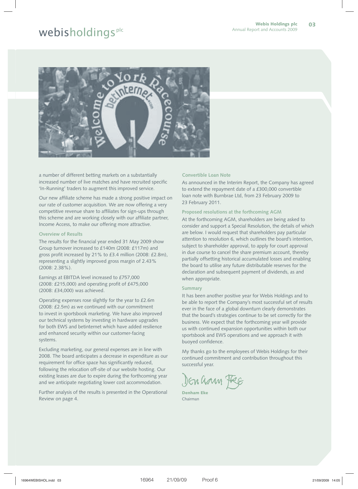

a number of different betting markets on a substantially increased number of live matches and have recruited specific 'In-Running' traders to augment this improved service.

Our new affiliate scheme has made a strong positive impact on our rate of customer acquisition. We are now offering a very competitive revenue share to affiliates for sign-ups through this scheme and are working closely with our affiliate partner, Income Access, to make our offering more attractive.

### **Overview of Results**

The results for the financial year ended 31 May 2009 show Group turnover increased to £140m (2008: £117m) and gross profit increased by 21% to £3.4 million (2008: £2.8m), representing a slightly improved gross margin of 2.43% (2008: 2.38%).

Earnings at EBITDA level increased to £757,000 (2008: £215,000) and operating profit of £475,000 (2008: £34,000) was achieved.

Operating expenses rose slightly for the year to £2.6m (2008: £2.5m) as we continued with our commitment to invest in sportsbook marketing. We have also improved our technical systems by investing in hardware upgrades for both EWS and betinternet which have added resilience and enhanced security within our customer-facing systems.

Excluding marketing, our general expenses are in line with 2008. The board anticipates a decrease in expenditure as our requirement for office space has significantly reduced, following the relocation off-site of our website hosting. Our existing leases are due to expire during the forthcoming year and we anticipate negotiating lower cost accommodation.

Further analysis of the results is presented in the Operational Review on page 4.

### **Convertible Loan Note**

As announced in the Interim Report, the Company has agreed to extend the repayment date of a £300,000 convertible loan note with Burnbrae Ltd, from 23 February 2009 to 23 February 2011.

### **Proposed resolutions at the forthcoming AGM**

At the forthcoming AGM, shareholders are being asked to consider and support a Special Resolution, the details of which are below. I would request that shareholders pay particular attention to resolution 6, which outlines the board's intention, subject to shareholder approval, to apply for court approval in due course to cancel the share premium account, thereby partially offsetting historical accumulated losses and enabling the board to utilise any future distributable reserves for the declaration and subsequent payment of dividends, as and when appropriate.

### **Summary**

It has been another positive year for Webis Holdings and to be able to report the Company's most successful set of results ever in the face of a global downturn clearly demonstrates that the board's strategies continue to be set correctly for the business. We expect that the forthcoming year will provide us with continued expansion opportunities within both our sportsbook and EWS operations and we approach it with buoyed confidence.

My thanks go to the employees of Webis Holdings for their continued commitment and contribution throughout this successful year.

Den ham Fee

**Denham Eke** Chairman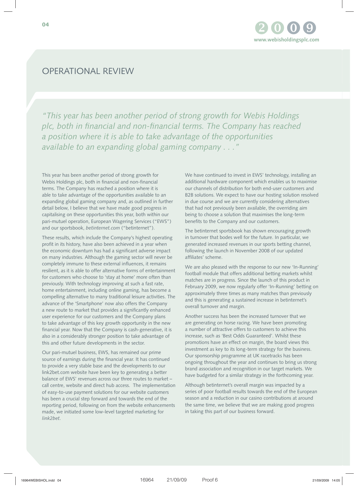

# OPERATIONAL REVIEW

*"This year has been another period of strong growth for Webis Holdings*  plc, both in financial and non-financial terms. The Company has reached *a position where it is able to take advantage of the opportunities available to an expanding global gaming company . . ."*

This year has been another period of strong growth for Webis Holdings plc, both in financial and non-financial terms. The Company has reached a position where it is able to take advantage of the opportunities available to an expanding global gaming company and, as outlined in further detail below, I believe that we have made good progress in capitalising on these opportunities this year, both within our pari-mutuel operation, European Wagering Services ("EWS") and our sportsbook, *betinternet.com* ("betinternet").

These results, which include the Company's highest operating profit in its history, have also been achieved in a year when the economic downturn has had a significant adverse impact on many industries. Although the gaming sector will never be completely immune to these external influences, it remains resilient, as it is able to offer alternative forms of entertainment for customers who choose to 'stay at home' more often than previously. With technology improving at such a fast rate, home entertainment, including online gaming, has become a compelling alternative to many traditional leisure activities. The advance of the 'Smartphone' now also offers the Company a new route to market that provides a significantly enhanced user experience for our customers and the Company plans to take advantage of this key growth opportunity in the new financial year. Now that the Company is cash-generative, it is also in a considerably stronger position to take advantage of this and other future developments in the sector.

Our pari-mutuel business, EWS, has remained our prime source of earnings during the financial year. It has continued to provide a very stable base and the developments to our link2bet.com website have been key to generating a better balance of EWS' revenues across our three routes to market – call centre, website and direct hub access. The implementation of easy-to-use payment solutions for our website customers has been a crucial step forward and towards the end of the reporting period, following on from the website enhancements made, we initiated some low-level targeted marketing for *link2bet*.

We have continued to invest in EWS' technology, installing an additional hardware component which enables us to maximise our channels of distribution for both end-user customers and B2B solutions. We expect to have our hosting solution resolved in due course and we are currently considering alternatives that had not previously been available, the overriding aim being to choose a solution that maximises the long-term benefits to the Company and our customers.

The betinternet sportsbook has shown encouraging growth in turnover that bodes well for the future. In particular, we generated increased revenues in our sports betting channel, following the launch in November 2008 of our updated affiliates' scheme.

We are also pleased with the response to our new 'In-Running' football module that offers additional betting markets whilst matches are in progress. Since the launch of this product in February 2009, we now regularly offer 'In-Running' betting on approximately three times as many matches than previously and this is generating a sustained increase in betinternet's overall turnover and margin.

Another success has been the increased turnover that we are generating on horse racing. We have been promoting a number of attractive offers to customers to achieve this increase, such as 'Best Odds Guaranteed'. Whilst these promotions have an effect on margin, the board views this investment as key to its long-term strategy for the business. Our sponsorship programme at UK racetracks has been ongoing throughout the year and continues to bring us strong brand association and recognition in our target markets. We have budgeted for a similar strategy in the forthcoming year.

Although betinternet's overall margin was impacted by a series of poor football results towards the end of the European season and a reduction in our casino contributions at around the same time, we believe that we are making good progress in taking this part of our business forward.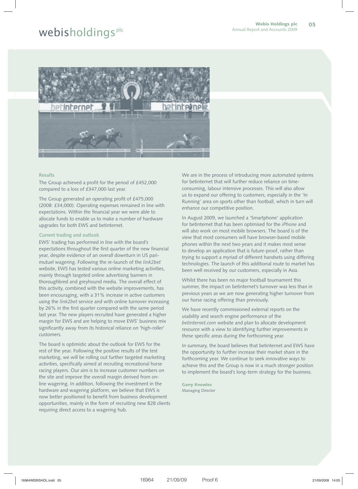

#### **Results**

The Group achieved a profit for the period of £452,000 compared to a loss of £347,000 last year.

The Group generated an operating profit of £475,000 (2008: £34,000). Operating expenses remained in line with expectations. Within the financial year we were able to allocate funds to enable us to make a number of hardware upgrades for both EWS and betinternet.

#### **Current trading and outlook**

EWS' trading has performed in line with the board's expectations throughout the first quarter of the new financial year, despite evidence of an overall downturn in US parimutuel wagering. Following the re-launch of the *link2bet* website, EWS has tested various online marketing activities, mainly through targeted online advertising banners in thoroughbred and greyhound media. The overall effect of this activity, combined with the website improvements, has been encouraging, with a 31% increase in active customers using the *link2bet* service and with online turnover increasing by 26% in the first quarter compared with the same period last year. The new players recruited have generated a higher margin for EWS and are helping to move EWS' business mix significantly away from its historical reliance on 'high-roller' customers.

The board is optimistic about the outlook for EWS for the rest of the year. Following the positive results of the test marketing, we will be rolling out further targeted marketing activities, specifically aimed at recruiting recreational horse racing players. Our aim is to increase customer numbers on the site and improve the overall margin derived from online wagering. In addition, following the investment in the hardware and wagering platform, we believe that EWS is now better positioned to benefit from business development opportunities, mainly in the form of recruiting new B2B clients requiring direct access to a wagering hub.

We are in the process of introducing more automated systems for betinternet that will further reduce reliance on timeconsuming, labour intensive processes. This will also allow us to expand our offering to customers, especially in the 'In Running' area on sports other than football, which in turn will enhance our competitive position.

In August 2009, we launched a 'Smartphone' application for betinternet that has been optimised for the *iPhone* and will also work on most mobile browsers. The board is of the view that most consumers will have browser-based mobile phones within the next two years and it makes most sense to develop an application that is future-proof, rather than trying to support a myriad of different handsets using differing technologies. The launch of this additional route to market has been well received by our customers, especially in Asia.

Whilst there has been no major football tournament this summer, the impact on betinternet's turnover was less than in previous years as we are now generating higher turnover from our horse racing offering than previously.

We have recently commissioned external reports on the usability and search engine performance of the *betinternet.com* website and plan to allocate development resource with a view to identifying further improvements in these specific areas during the forthcoming year.

In summary, the board believes that betinternet and EWS have the opportunity to further increase their market share in the forthcoming year. We continue to seek innovative ways to achieve this and the Group is now in a much stronger position to implement the board's long-term strategy for the business.

**Garry Knowles** Managing Director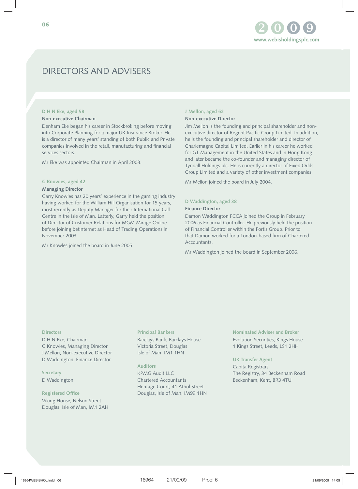

# DIRECTORS AND ADVISERS

### **D H N Eke, aged 58**

### **Non-executive Chairman**

Denham Eke began his career in Stockbroking before moving into Corporate Planning for a major UK Insurance Broker. He is a director of many years' standing of both Public and Private companies involved in the retail, manufacturing and financial services sectors.

Mr Eke was appointed Chairman in April 2003.

### **G Knowles, aged 42**

### **Managing Director**

Garry Knowles has 20 years' experience in the gaming industry having worked for the William Hill Organisation for 15 years, most recently as Deputy Manager for their International Call Centre in the Isle of Man. Latterly, Garry held the position of Director of Customer Relations for MGM Mirage Online before joining betinternet as Head of Trading Operations in November 2003.

Mr Knowles joined the board in June 2005.

#### **J Mellon, aged 52**

#### **Non-executive Director**

Jim Mellon is the founding and principal shareholder and nonexecutive director of Regent Pacific Group Limited. In addition, he is the founding and principal shareholder and director of Charlemagne Capital Limited. Earlier in his career he worked for GT Management in the United States and in Hong Kong and later became the co-founder and managing director of Tyndall Holdings plc. He is currently a director of Fixed Odds Group Limited and a variety of other investment companies.

Mr Mellon joined the board in July 2004.

#### **D Waddington, aged 38**

#### **Finance Director**

Damon Waddington FCCA joined the Group in February 2006 as Financial Controller. He previously held the position of Financial Controller within the Fortis Group. Prior to that Damon worked for a London-based firm of Chartered Accountants.

Mr Waddington joined the board in September 2006.

#### **Directors**

D H N Eke, Chairman G Knowles, Managing Director J Mellon, Non-executive Director D Waddington, Finance Director

**Secretary** D Waddington

**Registered Office** Viking House, Nelson Street Douglas, Isle of Man, IM1 2AH

### **Principal Bankers** Barclays Bank, Barclays House Victoria Street, Douglas Isle of Man, IM1 1HN

#### **Auditors**

KPMG Audit LLC Chartered Accountants Heritage Court, 41 Athol Street Douglas, Isle of Man, IM99 1HN **Nominated Adviser and Broker** Evolution Securities, Kings House 1 Kings Street, Leeds, LS1 2HH

**UK Transfer Agent** Capita Registrars The Registry, 34 Beckenham Road Beckenham, Kent, BR3 4TU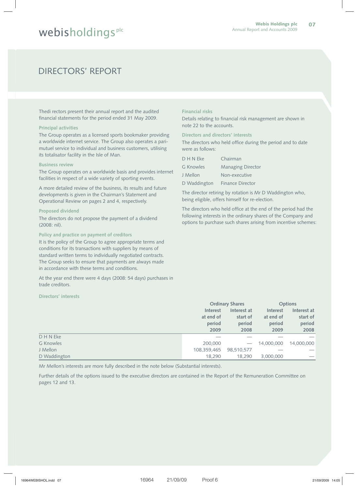# DIRECTORS' REPORT

Thedi rectors present their annual report and the audited financial statements for the period ended 31 May 2009.

### **Principal activities**

The Group operates as a licensed sports bookmaker providing a worldwide internet service. The Group also operates a parimutuel service to individual and business customers, utilising its totalisator facility in the Isle of Man.

### **Business review**

The Group operates on a worldwide basis and provides internet facilities in respect of a wide variety of sporting events.

A more detailed review of the business, its results and future developments is given in the Chairman's Statement and Operational Review on pages 2 and 4, respectively.

### **Proposed dividend**

The directors do not propose the payment of a dividend (2008: nil).

#### **Policy and practice on payment of creditors**

It is the policy of the Group to agree appropriate terms and conditions for its transactions with suppliers by means of standard written terms to individually negotiated contracts. The Group seeks to ensure that payments are always made in accordance with these terms and conditions.

At the year end there were 4 days (2008: 54 days) purchases in trade creditors.

### **Directors' interests**

|                  | <b>Ordinary Shares</b> |             |            | <b>Options</b>                 |
|------------------|------------------------|-------------|------------|--------------------------------|
|                  | <b>Interest</b>        | Interest at | Interest   | Interest at                    |
|                  | at end of              | start of    | at end of  | start of                       |
|                  | period                 | period      | period     | period                         |
|                  | 2009                   | 2008        | 2009       | 2008                           |
| D H N Eke        |                        |             |            |                                |
| <b>G</b> Knowles | 200,000                |             | 14.000.000 | 14,000,000                     |
| J Mellon         | 108,359,465            | 98,510,577  |            |                                |
| D Waddington     | 18.290                 | 18.290      | 3.000.000  | $\overbrace{\hspace{25mm}}^{}$ |

Mr Mellon's interests are more fully described in the note below (Substantial interests).

Further details of the options issued to the executive directors are contained in the Report of the Remuneration Committee on pages 12 and 13.

#### **Financial risks**

Details relating to financial risk management are shown in note 22 to the accounts.

**Directors and directors' interests** The directors who held office during the period and to date were as follows:

| D H N Eke        | Chairman                 |
|------------------|--------------------------|
| <b>G</b> Knowles | <b>Managing Director</b> |
| J Mellon         | Non-executive            |
| D Waddington     | <b>Finance Director</b>  |

The director retiring by rotation is Mr D Waddington who, being eligible, offers himself for re-election.

The directors who held office at the end of the period had the following interests in the ordinary shares of the Company and options to purchase such shares arising from incentive schemes: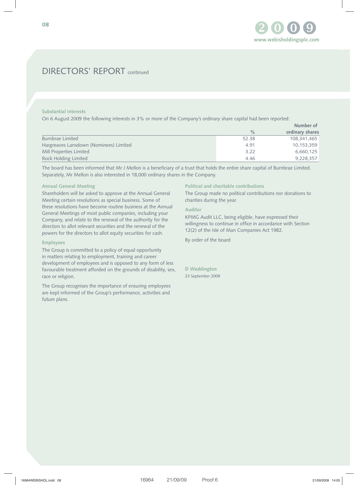

# DIRECTORS' REPORT continued

### **Substantial interests**

On 6 August 2009 the following interests in 3% or more of the Company's ordinary share capital had been reported:

|                                        |               | Number of       |
|----------------------------------------|---------------|-----------------|
|                                        | $\frac{0}{2}$ | ordinary shares |
| Burnbrae Limited                       | 52.38         | 108,341,465     |
| Hargreaves Lansdown (Nominees) Limited | 4.91          | 10,153,359      |
| Mill Properties Limited                | 3.22          | 6,660,125       |
| Rock Holding Limited                   | 4.46          | 9,228,357       |

The board has been informed that Mr J Mellon is a beneficiary of a trust that holds the entire share capital of Burnbrae Limited. Separately, Mr Mellon is also interested in 18,000 ordinary shares in the Company.

### **Annual General Meeting**

Shareholders will be asked to approve at the Annual General Meeting certain resolutions as special business. Some of these resolutions have become routine business at the Annual General Meetings of most public companies, including your Company, and relate to the renewal of the authority for the directors to allot relevant securities and the renewal of the powers for the directors to allot equity securities for cash.

### **Employees**

The Group is committed to a policy of equal opportunity in matters relating to employment, training and career development of employees and is opposed to any form of less favourable treatment afforded on the grounds of disability, sex, race or religion.

The Group recognises the importance of ensuring employees are kept informed of the Group's performance, activities and future plans.

### **Political and charitable contributions**

The Group made no political contributions nor donations to charities during the year.

#### **Auditor**

KPMG Audit LLC, being eligible, have expressed their willingness to continue in office in accordance with Section 12(2) of the Isle of Man Companies Act 1982.

By order of the board

**D Waddington** 23 September 2009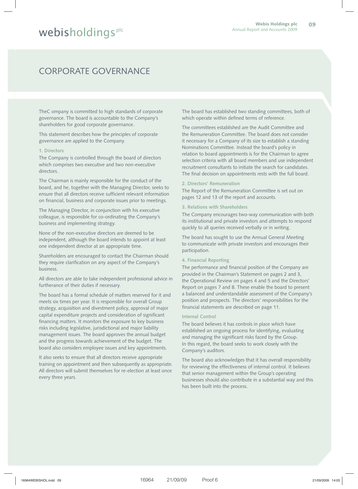# CORPORATE GOVERNANCE

The C ompany is committed to high standards of corporate governance. The board is accountable to the Company's shareholders for good corporate governance.

This statement describes how the principles of corporate governance are applied to the Company.

#### **1. Directors**

The Company is controlled through the board of directors which comprises two executive and two non-executive directors.

The Chairman is mainly responsible for the conduct of the board, and he, together with the Managing Director, seeks to ensure that all directors receive sufficient relevant information on financial, business and corporate issues prior to meetings.

The Managing Director, in conjunction with his executive colleague, is responsible for co-ordinating the Company's business and implementing strategy.

None of the non-executive directors are deemed to be independent, although the board intends to appoint at least one independent director at an appropriate time.

Shareholders are encouraged to contact the Chairman should they require clarification on any aspect of the Company's business.

All directors are able to take independent professional advice in furtherance of their duties if necessary.

The board has a formal schedule of matters reserved for it and meets six times per year. It is responsible for overall Group strategy, acquisition and divestment policy, approval of major capital expenditure projects and consideration of significant financing matters. It monitors the exposure to key business risks including legislative, jurisdictional and major liability management issues. The board approves the annual budget and the progress towards achievement of the budget. The board also considers employee issues and key appointments.

It also seeks to ensure that all directors receive appropriate training on appointment and then subsequently as appropriate. All directors will submit themselves for re-election at least once every three years.

The board has established two standing committees, both of which operate within defined terms of reference.

The committees established are the Audit Committee and the Remuneration Committee. The board does not consider it necessary for a Company of its size to establish a standing Nominations Committee. Instead the board's policy in relation to board appointments is for the Chairman to agree selection criteria with all board members and use independent recruitment consultants to initiate the search for candidates. The final decision on appointments rests with the full board.

#### **2. Directors' Remuneration**

The Report of the Remuneration Committee is set out on pages 12 and 13 of the report and accounts.

#### **3. Relations with Shareholders**

The Company encourages two-way communication with both its institutional and private investors and attempts to respond quickly to all queries received verbally or in writing.

The board has sought to use the Annual General Meeting to communicate with private investors and encourages their participation.

### **4. Financial Reporting**

The performance and financial position of the Company are provided in the Chairman's Statement on pages 2 and 3, the Operational Review on pages 4 and 5 and the Directors' Report on pages 7 and 8. These enable the board to present a balanced and understandable assessment of the Company's position and prospects. The directors' responsibilities for the financial statements are described on page 11.

#### **Internal Control**

The board believes it has controls in place which have established an ongoing process for identifying, evaluating and managing the significant risks faced by the Group. In this regard, the board seeks to work closely with the Company's auditors.

The board also acknowledges that it has overall responsibility for reviewing the effectiveness of internal control. It believes that senior management within the Group's operating businesses should also contribute in a substantial way and this has been built into the process.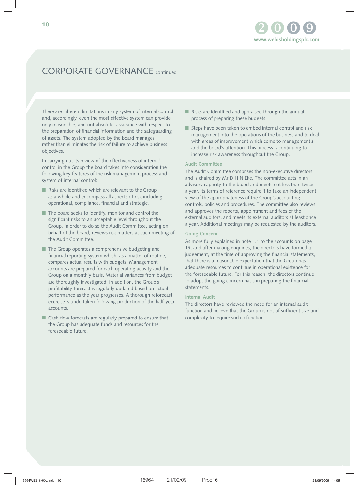

## CORPORATE GOVERNANCE continued

There are inherent limitations in any system of internal control and, accordingly, even the most effective system can provide only reasonable, and not absolute, assurance with respect to the preparation of financial information and the safeguarding of assets. The system adopted by the board manages rather than eliminates the risk of failure to achieve business objectives.

In carrying out its review of the effectiveness of internal control in the Group the board takes into consideration the following key features of the risk management process and system of internal control:

- Risks are identified which are relevant to the Group as a whole and encompass all aspects of risk including operational, compliance, financial and strategic.
- The board seeks to identify, monitor and control the significant risks to an acceptable level throughout the Group. In order to do so the Audit Committee, acting on behalf of the board, reviews risk matters at each meeting of the Audit Committee.
- The Group operates a comprehensive budgeting and financial reporting system which, as a matter of routine, compares actual results with budgets. Management accounts are prepared for each operating activity and the Group on a monthly basis. Material variances from budget are thoroughly investigated. In addition, the Group's profitability forecast is regularly updated based on actual performance as the year progresses. A thorough reforecast exercise is undertaken following production of the half-year accounts.
- Cash flow forecasts are regularly prepared to ensure that the Group has adequate funds and resources for the foreseeable future.
- Risks are identified and appraised through the annual process of preparing these budgets.
- Steps have been taken to embed internal control and risk management into the operations of the business and to deal with areas of improvement which come to management's and the board's attention. This process is continuing to increase risk awareness throughout the Group.

### **Audit Committee**

The Audit Committee comprises the non-executive directors and is chaired by Mr D H N Eke. The committee acts in an advisory capacity to the board and meets not less than twice a year. Its terms of reference require it to take an independent view of the appropriateness of the Group's accounting controls, policies and procedures. The committee also reviews and approves the reports, appointment and fees of the external auditors, and meets its external auditors at least once a year. Additional meetings may be requested by the auditors.

#### **Going Concern**

As more fully explained in note 1.1 to the accounts on page 19, and after making enquiries, the directors have formed a judgement, at the time of approving the financial statements, that there is a reasonable expectation that the Group has adequate resources to continue in operational existence for the foreseeable future. For this reason, the directors continue to adopt the going concern basis in preparing the financial statements.

### **Internal Audit**

The directors have reviewed the need for an internal audit function and believe that the Group is not of sufficient size and complexity to require such a function.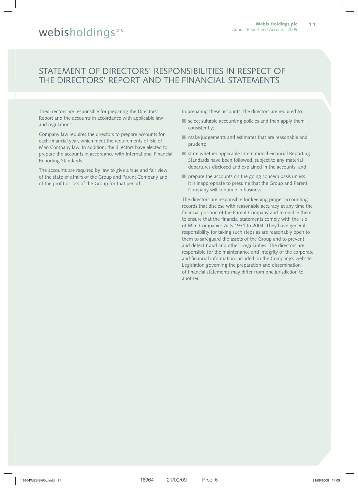# STATEMENT OF DIRECTORS' RESPONSIBILITIES IN RESPECT OF THE DIRECTORS' REPORT AND THE FINANCIAL STATEMENTS

The di rectors are responsible for preparing the Directors' Report and the accounts in accordance with applicable law and regulations.

Company law requires the directors to prepare accounts for each financial year, which meet the requirements of Isle of Man Company law. In addition, the directors have elected to prepare the accounts in accordance with International Financial Reporting Standards.

The accounts are required by law to give a true and fair view of the state of affairs of the Group and Parent Company and of the profit or loss of the Group for that period.

- In preparing these accounts, the directors are required to:
- select suitable accounting policies and then apply them consistently;
- make judgements and estimates that are reasonable and prudent;
- state whether applicable International Financial Reporting Standards have been followed, subject to any material departures disclosed and explained in the accounts; and
- prepare the accounts on the going concern basis unless it is inappropriate to presume that the Group and Parent Company will continue in business.

The directors are responsible for keeping proper accounting records that disclose with reasonable accuracy at any time the financial position of the Parent Company and to enable them to ensure that the financial statements comply with the Isle of Man Companies Acts 1931 to 2004. They have general responsibility for taking such steps as are reasonably open to them to safeguard the assets of the Group and to prevent and detect fraud and other irregularities. The directors are responsible for the maintenance and integrity of the corporate and financial information included on the Company's website. Legislation governing the preparation and dissemination of financial statements may differ from one jurisdiction to another.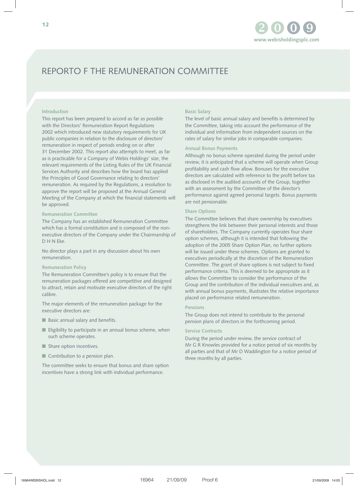

# REPORTO F THE REMUNERATION COMMITTEE

#### **Introduction**

This report has been prepared to accord as far as possible with the Directors' Remuneration Report Regulations 2002 which introduced new statutory requirements for UK public companies in relation to the disclosure of directors' remuneration in respect of periods ending on or after 31 December 2002. This report also attempts to meet, as far as is practicable for a Company of Webis Holdings' size, the relevant requirements of the Listing Rules of the UK Financial Services Authority and describes how the board has applied the Principles of Good Governance relating to directors' remuneration. As required by the Regulations, a resolution to approve the report will be proposed at the Annual General Meeting of the Company at which the financial statements will be approved.

#### **Remuneration Committee**

The Company has an established Remuneration Committee which has a formal constitution and is composed of the nonexecutive directors of the Company under the Chairmanship of D H N Eke.

No director plays a part in any discussion about his own remuneration.

#### **Remuneration Policy**

The Remuneration Committee's policy is to ensure that the remuneration packages offered are competitive and designed to attract, retain and motivate executive directors of the right calibre.

The major elements of the remuneration package for the executive directors are:

- Basic annual salary and benefits.
- Eligibility to participate in an annual bonus scheme, when such scheme operates.
- Share option incentives.
- Contribution to a pension plan.

The committee seeks to ensure that bonus and share option incentives have a strong link with individual performance.

#### **Basic Salary**

The level of basic annual salary and benefits is determined by the Committee, taking into account the performance of the individual and information from independent sources on the rates of salary for similar jobs in comparable companies.

#### **Annual Bonus Payments**

Although no bonus scheme operated during the period under review, it is anticipated that a scheme will operate when Group profitability and cash flow allow. Bonuses for the executive directors are calculated with reference to the profit before tax as disclosed in the audited accounts of the Group, together with an assessment by the Committee of the director's performance against agreed personal targets. Bonus payments are not pensionable.

#### **Share Options**

The Committee believes that share ownership by executives strengthens the link between their personal interests and those of shareholders. The Company currently operates four share option schemes, although it is intended that following the adoption of the 2005 Share Option Plan, no further options will be issued under these schemes. Options are granted to executives periodically at the discretion of the Remuneration Committee. The grant of share options is not subject to fixed performance criteria. This is deemed to be appropriate as it allows the Committee to consider the performance of the Group and the contribution of the individual executives and, as with annual bonus payments, illustrates the relative importance placed on performance related remuneration.

#### **Pensions**

The Group does not intend to contribute to the personal pension plans of directors in the forthcoming period.

#### **Service Contracts**

During the period under review, the service contract of Mr G R Knowles provided for a notice period of six months by all parties and that of Mr D Waddington for a notice period of three months by all parties.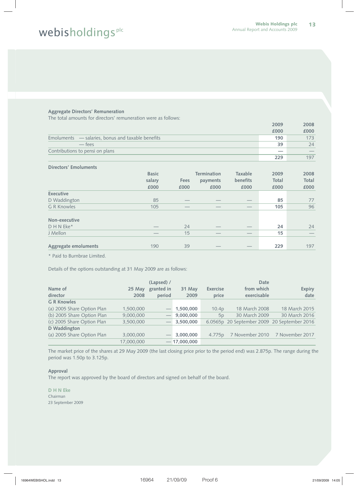## **Aggregate Directors' Remuneration**

The total amounts for directors' remuneration were as follows:

|                                                   | 2009 | 2008 |
|---------------------------------------------------|------|------|
|                                                   | £000 | £000 |
| Emoluments — salaries, bonus and taxable benefits | 190  | 173  |
| — fees                                            | 39   | 24   |
| Contributions to pensi on plans                   |      |      |
|                                                   | 229  | 197  |

| <b>Directors' Emoluments</b> |              |             |                    |                |              |       |
|------------------------------|--------------|-------------|--------------------|----------------|--------------|-------|
|                              | <b>Basic</b> |             | <b>Termination</b> | <b>Taxable</b> | 2009         | 2008  |
|                              | salary       | <b>Fees</b> | payments           | benefits       | <b>Total</b> | Total |
|                              | £000         | £000        | £000               | £000           | £000         | £000  |
| <b>Executive</b>             |              |             |                    |                |              |       |
| D Waddington                 | 85           |             |                    |                | 85           | 77    |
| <b>G R Knowles</b>           | 105          |             |                    |                | 105          | 96    |
| Non-executive                |              |             |                    |                |              |       |
| DHNEke*                      |              | 24          |                    |                | 24           | 24    |
| J Mellon                     |              | 15          |                    |                | 15           |       |
|                              |              |             |                    |                |              |       |
| Aggregate emoluments         | 190          | 39          |                    |                | 229          | 197   |

\* Paid to Burnbrae Limited.

Details of the options outstanding at 31 May 2009 are as follows:

|                            |            | (Lapsed) /                    |               |                    | Date            |                                             |
|----------------------------|------------|-------------------------------|---------------|--------------------|-----------------|---------------------------------------------|
| Name of                    | 25 May     | granted in                    | 31 May        | <b>Exercise</b>    | from which      | <b>Expiry</b>                               |
| director                   | 2008       | period                        | 2009          | price              | exercisable     | date                                        |
| <b>G R Knowles</b>         |            |                               |               |                    |                 |                                             |
| (a) 2005 Share Option Plan | 1,500,000  | $\overbrace{\phantom{12333}}$ | 1,500,000     | 10.4 <sub>p</sub>  | 18 March 2008   | 18 March 2015                               |
| (b) 2005 Share Option Plan | 9,000,000  |                               | 9,000,000     | 5p                 | 30 March 2009   | 30 March 2016                               |
| (c) 2005 Share Option Plan | 3.500.000  |                               | 3,500,000     |                    |                 | 6.0565p 20 September 2009 20 September 2016 |
| D Waddington               |            |                               |               |                    |                 |                                             |
| (a) 2005 Share Option Plan | 3,000,000  |                               | 3,000,000     | 4.775 <sub>p</sub> | 7 November 2010 | 7 November 2017                             |
|                            | 17.000.000 |                               | $-17,000,000$ |                    |                 |                                             |

The market price of the shares at 29 May 2009 (the last closing price prior to the period end) was 2.875p. The range during the period was 1.50p to 3.125p.

### **Approval**

The report was approved by the board of directors and signed on behalf of the board.

**D H N Eke** Chairman 23 September 2009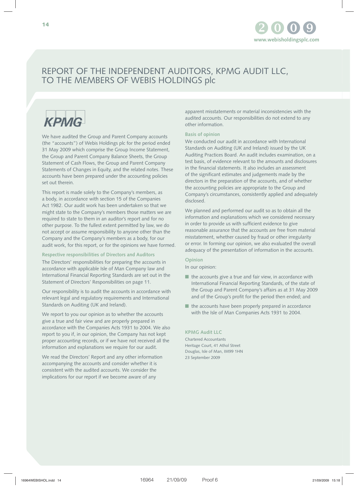

## REPORT OF THE INDEPENDENT AUDITORS, KPMG AUDIT LLC, TO THE MEMBERS OF WEBIS HOLDINGS plc



 We have audited the Group and Parent Company accounts (the "accounts") of Webis Holdings plc for the period ended 31 May 2009 which comprise the Group Income Statement, the Group and Parent Company Balance Sheets, the Group Statement of Cash Flows, the Group and Parent Company Statements of Changes in Equity, and the related notes. These accounts have been prepared under the accounting policies set out therein.

This report is made solely to the Company's members, as a body, in accordance with section 15 of the Companies Act 1982. Our audit work has been undertaken so that we might state to the Company's members those matters we are required to state to them in an auditor's report and for no other purpose. To the fullest extent permitted by law, we do not accept or assume responsibility to anyone other than the Company and the Company's members as a body, for our audit work, for this report, or for the opinions we have formed.

**Respective responsibilities of Directors and Auditors** The Directors' responsibilities for preparing the accounts in accordance with applicable Isle of Man Company law and International Financial Reporting Standards are set out in the Statement of Directors' Responsibilities on page 11.

Our responsibility is to audit the accounts in accordance with relevant legal and regulatory requirements and International Standards on Auditing (UK and Ireland).

We report to you our opinion as to whether the accounts give a true and fair view and are properly prepared in accordance with the Companies Acts 1931 to 2004. We also report to you if, in our opinion, the Company has not kept proper accounting records, or if we have not received all the information and explanations we require for our audit.

We read the Directors' Report and any other information accompanying the accounts and consider whether it is consistent with the audited accounts. We consider the implications for our report if we become aware of any

apparent misstatements or material inconsistencies with the audited accounts. Our responsibilities do not extend to any other information.

### **Basis of opinion**

We conducted our audit in accordance with International Standards on Auditing (UK and Ireland) issued by the UK Auditing Practices Board. An audit includes examination, on a test basis, of evidence relevant to the amounts and disclosures in the financial statements. It also includes an assessment of the significant estimates and judgements made by the directors in the preparation of the accounts, and of whether the accounting policies are appropriate to the Group and Company's circumstances, consistently applied and adequately disclosed.

We planned and performed our audit so as to obtain all the information and explanations which we considered necessary in order to provide us with sufficient evidence to give reasonable assurance that the accounts are free from material misstatement, whether caused by fraud or other irregularity or error. In forming our opinion, we also evaluated the overall adequacy of the presentation of information in the accounts.

**Opinion**

In our opinion:

- $\blacksquare$  the accounts give a true and fair view, in accordance with International Financial Reporting Standards, of the state of the Group and Parent Company's affairs as at 31 May 2009 and of the Group's profit for the period then ended; and
- $\blacksquare$  the accounts have been properly prepared in accordance with the Isle of Man Companies Acts 1931 to 2004.

### **KPMG Audit LLC**

Chartered Accountants Heritage Court, 41 Athol Street Douglas, Isle of Man, IM99 1HN 23 September 2009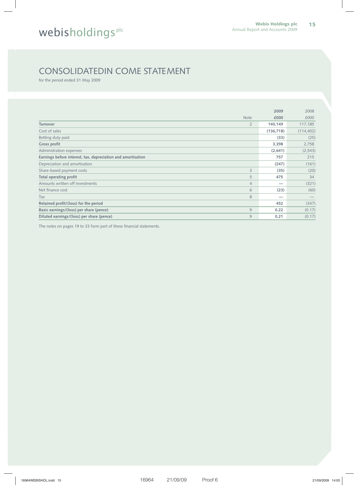# CONSOLIDATEDIN COME STATEMENT

for the period ended 31 May 2009

|                                                              |                | 2009      | 2008       |
|--------------------------------------------------------------|----------------|-----------|------------|
|                                                              | <b>Note</b>    | £000      | £000       |
| <b>Turnover</b>                                              | $\overline{2}$ | 140,149   | 117,185    |
| Cost of sales                                                |                | (136,718) | (114, 402) |
| Betting duty paid                                            |                | (33)      | (25)       |
| Gross profit                                                 |                | 3,398     | 2,758      |
| Administration expenses                                      |                | (2,641)   | (2, 543)   |
| Earnings before interest, tax, depreciation and amortisation |                | 757       | 215        |
| Depreciation and amortisation                                |                | (247)     | (161)      |
| Share-based payment costs                                    | 3              | (35)      | (20)       |
| Total operating profit                                       | 5              | 475       | 34         |
| Amounts written off investments                              | $\overline{4}$ |           | (321)      |
| Net finance cost                                             | 6              | (23)      | (60)       |
| Tax                                                          | 8              |           |            |
| Retained profit/(loss) for the period                        |                | 452       | (347)      |
| Basic earnings/(loss) per share (pence)                      | 9              | 0.22      | (0.17)     |
| Diluted earnings/(loss) per share (pence)                    | 9              | 0.21      | (0.17)     |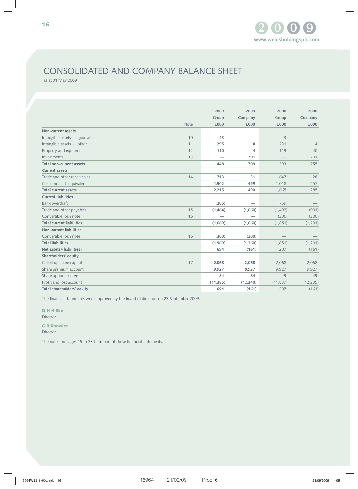

# CONSOLIDATED AND COMPANY BALANCE SHEET

as at 31 May 2009

| Group<br>Company<br>Group<br>Company<br>£000<br>£000<br>£000<br>£000<br><b>Note</b><br>Non-current assets<br>Intangible assets - goodwill<br>10<br>43<br>43<br>11<br>Intangible assets - other<br>295<br>4<br>14<br>231<br>Property and equipment<br>12<br>110<br>119<br>40<br>4<br>Investments<br>13<br>701<br>701<br>-<br>Total non-current assets<br>448<br>709<br>393<br>755<br><b>Current assets</b><br>Trade and other receivables<br>14<br>713<br>31<br>647<br>28<br>Cash and cash equivalents<br>1,502<br>1,018<br>459<br>257<br><b>Total current assets</b><br>285<br>2,215<br>490<br>1,665<br><b>Current liabilities</b><br>Bank overdraft<br>(205)<br>(59)<br>15<br>Trade and other payables<br>(1,464)<br>(1,060)<br>(1, 492)<br>(901)<br>Convertible loan note<br>16<br>(300)<br>(300)<br>$\overline{\phantom{0}}$<br><b>Total current liabilities</b><br>(1,669)<br>(1,060)<br>(1,851)<br>Non-current liabilities<br>Convertible loan note<br>16<br>(300)<br>(300)<br><b>Total liabilities</b><br>(1,969)<br>(1,360)<br>(1,851)<br>Net assets/(liabilities)<br>694<br>(161)<br>207<br>Shareholders' equity<br>Called up share capital<br>17<br>2,068<br>2,068<br>2,068<br>2,068<br>Share premium account<br>9,927<br>9,927<br>9,927<br>9,927<br>84<br>Share option reserve<br>84<br>49<br>49<br>Profit and loss account<br>(12, 240)<br>(11, 385)<br>(11, 837)<br>(12, 205)<br>Total shareholders' equity<br>694<br>(161)<br>207 |  |      |      |      |         |
|------------------------------------------------------------------------------------------------------------------------------------------------------------------------------------------------------------------------------------------------------------------------------------------------------------------------------------------------------------------------------------------------------------------------------------------------------------------------------------------------------------------------------------------------------------------------------------------------------------------------------------------------------------------------------------------------------------------------------------------------------------------------------------------------------------------------------------------------------------------------------------------------------------------------------------------------------------------------------------------------------------------------------------------------------------------------------------------------------------------------------------------------------------------------------------------------------------------------------------------------------------------------------------------------------------------------------------------------------------------------------------------------------------------------------------------------|--|------|------|------|---------|
|                                                                                                                                                                                                                                                                                                                                                                                                                                                                                                                                                                                                                                                                                                                                                                                                                                                                                                                                                                                                                                                                                                                                                                                                                                                                                                                                                                                                                                                |  | 2009 | 2009 | 2008 | 2008    |
|                                                                                                                                                                                                                                                                                                                                                                                                                                                                                                                                                                                                                                                                                                                                                                                                                                                                                                                                                                                                                                                                                                                                                                                                                                                                                                                                                                                                                                                |  |      |      |      |         |
|                                                                                                                                                                                                                                                                                                                                                                                                                                                                                                                                                                                                                                                                                                                                                                                                                                                                                                                                                                                                                                                                                                                                                                                                                                                                                                                                                                                                                                                |  |      |      |      |         |
|                                                                                                                                                                                                                                                                                                                                                                                                                                                                                                                                                                                                                                                                                                                                                                                                                                                                                                                                                                                                                                                                                                                                                                                                                                                                                                                                                                                                                                                |  |      |      |      |         |
|                                                                                                                                                                                                                                                                                                                                                                                                                                                                                                                                                                                                                                                                                                                                                                                                                                                                                                                                                                                                                                                                                                                                                                                                                                                                                                                                                                                                                                                |  |      |      |      |         |
|                                                                                                                                                                                                                                                                                                                                                                                                                                                                                                                                                                                                                                                                                                                                                                                                                                                                                                                                                                                                                                                                                                                                                                                                                                                                                                                                                                                                                                                |  |      |      |      |         |
|                                                                                                                                                                                                                                                                                                                                                                                                                                                                                                                                                                                                                                                                                                                                                                                                                                                                                                                                                                                                                                                                                                                                                                                                                                                                                                                                                                                                                                                |  |      |      |      |         |
|                                                                                                                                                                                                                                                                                                                                                                                                                                                                                                                                                                                                                                                                                                                                                                                                                                                                                                                                                                                                                                                                                                                                                                                                                                                                                                                                                                                                                                                |  |      |      |      |         |
|                                                                                                                                                                                                                                                                                                                                                                                                                                                                                                                                                                                                                                                                                                                                                                                                                                                                                                                                                                                                                                                                                                                                                                                                                                                                                                                                                                                                                                                |  |      |      |      |         |
|                                                                                                                                                                                                                                                                                                                                                                                                                                                                                                                                                                                                                                                                                                                                                                                                                                                                                                                                                                                                                                                                                                                                                                                                                                                                                                                                                                                                                                                |  |      |      |      |         |
|                                                                                                                                                                                                                                                                                                                                                                                                                                                                                                                                                                                                                                                                                                                                                                                                                                                                                                                                                                                                                                                                                                                                                                                                                                                                                                                                                                                                                                                |  |      |      |      |         |
|                                                                                                                                                                                                                                                                                                                                                                                                                                                                                                                                                                                                                                                                                                                                                                                                                                                                                                                                                                                                                                                                                                                                                                                                                                                                                                                                                                                                                                                |  |      |      |      |         |
|                                                                                                                                                                                                                                                                                                                                                                                                                                                                                                                                                                                                                                                                                                                                                                                                                                                                                                                                                                                                                                                                                                                                                                                                                                                                                                                                                                                                                                                |  |      |      |      |         |
|                                                                                                                                                                                                                                                                                                                                                                                                                                                                                                                                                                                                                                                                                                                                                                                                                                                                                                                                                                                                                                                                                                                                                                                                                                                                                                                                                                                                                                                |  |      |      |      |         |
|                                                                                                                                                                                                                                                                                                                                                                                                                                                                                                                                                                                                                                                                                                                                                                                                                                                                                                                                                                                                                                                                                                                                                                                                                                                                                                                                                                                                                                                |  |      |      |      |         |
|                                                                                                                                                                                                                                                                                                                                                                                                                                                                                                                                                                                                                                                                                                                                                                                                                                                                                                                                                                                                                                                                                                                                                                                                                                                                                                                                                                                                                                                |  |      |      |      |         |
|                                                                                                                                                                                                                                                                                                                                                                                                                                                                                                                                                                                                                                                                                                                                                                                                                                                                                                                                                                                                                                                                                                                                                                                                                                                                                                                                                                                                                                                |  |      |      |      |         |
|                                                                                                                                                                                                                                                                                                                                                                                                                                                                                                                                                                                                                                                                                                                                                                                                                                                                                                                                                                                                                                                                                                                                                                                                                                                                                                                                                                                                                                                |  |      |      |      | (1,201) |
|                                                                                                                                                                                                                                                                                                                                                                                                                                                                                                                                                                                                                                                                                                                                                                                                                                                                                                                                                                                                                                                                                                                                                                                                                                                                                                                                                                                                                                                |  |      |      |      |         |
|                                                                                                                                                                                                                                                                                                                                                                                                                                                                                                                                                                                                                                                                                                                                                                                                                                                                                                                                                                                                                                                                                                                                                                                                                                                                                                                                                                                                                                                |  |      |      |      |         |
|                                                                                                                                                                                                                                                                                                                                                                                                                                                                                                                                                                                                                                                                                                                                                                                                                                                                                                                                                                                                                                                                                                                                                                                                                                                                                                                                                                                                                                                |  |      |      |      | (1,201) |
|                                                                                                                                                                                                                                                                                                                                                                                                                                                                                                                                                                                                                                                                                                                                                                                                                                                                                                                                                                                                                                                                                                                                                                                                                                                                                                                                                                                                                                                |  |      |      |      | (161)   |
|                                                                                                                                                                                                                                                                                                                                                                                                                                                                                                                                                                                                                                                                                                                                                                                                                                                                                                                                                                                                                                                                                                                                                                                                                                                                                                                                                                                                                                                |  |      |      |      |         |
|                                                                                                                                                                                                                                                                                                                                                                                                                                                                                                                                                                                                                                                                                                                                                                                                                                                                                                                                                                                                                                                                                                                                                                                                                                                                                                                                                                                                                                                |  |      |      |      |         |
|                                                                                                                                                                                                                                                                                                                                                                                                                                                                                                                                                                                                                                                                                                                                                                                                                                                                                                                                                                                                                                                                                                                                                                                                                                                                                                                                                                                                                                                |  |      |      |      |         |
|                                                                                                                                                                                                                                                                                                                                                                                                                                                                                                                                                                                                                                                                                                                                                                                                                                                                                                                                                                                                                                                                                                                                                                                                                                                                                                                                                                                                                                                |  |      |      |      |         |
|                                                                                                                                                                                                                                                                                                                                                                                                                                                                                                                                                                                                                                                                                                                                                                                                                                                                                                                                                                                                                                                                                                                                                                                                                                                                                                                                                                                                                                                |  |      |      |      |         |
|                                                                                                                                                                                                                                                                                                                                                                                                                                                                                                                                                                                                                                                                                                                                                                                                                                                                                                                                                                                                                                                                                                                                                                                                                                                                                                                                                                                                                                                |  |      |      |      | (161)   |

The financial statements were approved by the board of directors on 23 September 2009.

**D H N Eke**  Director **G R Knowles** 

Director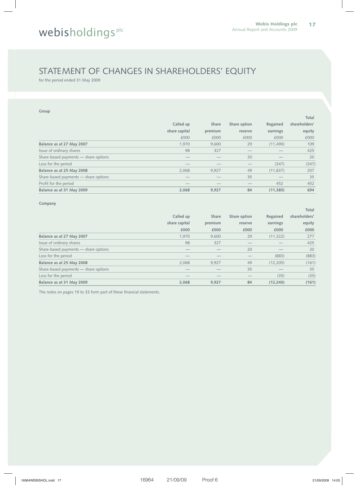# STATEMENT OF CHANGES IN SHAREHOLDERS' EQUITY

for the period ended 31 May 2009

**Group** 

|                                      |               |                          |              |           | Total         |
|--------------------------------------|---------------|--------------------------|--------------|-----------|---------------|
|                                      | Called up     | <b>Share</b>             | Share option | Regained  | shareholders' |
|                                      | share capital | premium                  | reserve      | earnings  | equity        |
|                                      | £000          | £000                     | £000         | £000      | £000          |
| Balance as at 27 May 2007            | 1,970         | 9,600                    | 29           | (11, 490) | 109           |
| Issue of ordinary shares             | 98            | 327                      |              |           | 425           |
| Share-based payments — share options |               |                          | 20           |           | 20            |
| Loss for the period                  |               |                          |              | (347)     | (347)         |
| Balance as at 25 May 2008            | 2,068         | 9,927                    | 49           | (11, 837) | 207           |
| Share-based payments - share options |               |                          | 35           |           | 35            |
| Profit for the period                |               | $\qquad \qquad - \qquad$ |              | 452       | 452           |
| Balance as at 31 May 2009            | 2.068         | 9.927                    | 84           | (11, 385) | 694           |

#### **Company**

| Called up<br><b>Share</b><br>Share option<br>Regained                 | shareholders' |
|-----------------------------------------------------------------------|---------------|
|                                                                       |               |
| share capital<br>earnings<br>premium<br>reserve                       | equity        |
| £000<br>£000<br>£000<br>£000                                          | £000          |
| 1,970<br>Balance as at 27 May 2007<br>9,600<br>29<br>(11, 322)        | 277           |
| Issue of ordinary shares<br>98<br>327                                 | 425           |
| Share-based payments - share options<br>20                            | 20            |
| Loss for the period<br>(883)<br>$-$<br>__<br>$\overline{\phantom{a}}$ | (883)         |
| Balance as at 25 May 2008<br>(12, 205)<br>2,068<br>9,927<br>49        | (161)         |
| Share-based payments - share options<br>35                            | 35            |
| Loss for the period<br>(35)                                           | (35)          |
| 84<br>Balance as at 31 May 2009<br>(12, 240)<br>2,068<br>9,927        | (161)         |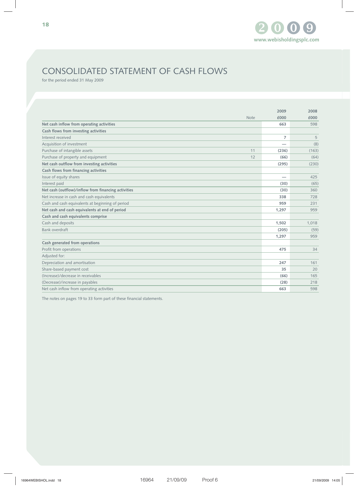

# CONSOLIDATED STATEMENT OF CASH FLOWS

for the period ended 31 May 2009

|                                                     | 2009                     | 2008  |
|-----------------------------------------------------|--------------------------|-------|
| <b>Note</b>                                         | £000                     | £000  |
| Net cash inflow from operating activities           | 663                      | 598   |
| Cash flows from investing activities                |                          |       |
| Interest received                                   | $\overline{7}$           | 5     |
| Acquisition of investment                           |                          | (8)   |
| Purchase of intangible assets<br>11                 | (236)                    | (163) |
| Purchase of property and equipment<br>12            | (66)                     | (64)  |
| Net cash outflow from investing activities          | (295)                    | (230) |
| Cash flows from financing activities                |                          |       |
| Issue of equity shares                              | $\overline{\phantom{0}}$ | 425   |
| Interest paid                                       | (30)                     | (65)  |
| Net cash (outflow)/inflow from financing activities | (30)                     | 360   |
| Net increase in cash and cash equivalents           | 338                      | 728   |
| Cash and cash equivalents at beginning of period    | 959                      | 231   |
| Net cash and cash equivalents at end of period      | 1,297                    | 959   |
| Cash and cash equivalents comprise                  |                          |       |
| Cash and deposits                                   | 1.502                    | 1,018 |
| <b>Bank overdraft</b>                               | (205)                    | (59)  |
|                                                     | 1,297                    | 959   |
| Cash generated from operations                      |                          |       |
| Profit from operations                              | 475                      | 34    |
| Adjusted for:                                       |                          |       |
| Depreciation and amortisation                       | 247                      | 161   |
| Share-based payment cost                            | 35                       | 20    |
| (Increase)/decrease in receivables                  | (66)                     | 165   |
| (Decrease)/increase in payables                     | (28)                     | 218   |
| Net cash inflow from operating activities           | 663                      | 598   |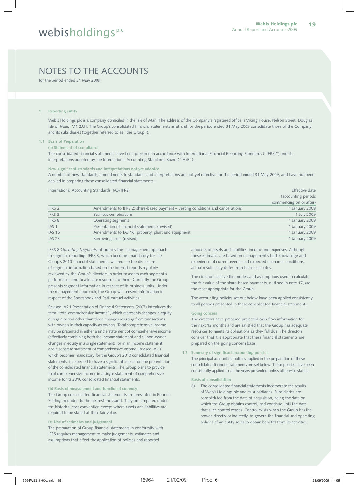# NOTES TO THE ACCOUNTS

for the period ended 31 May 2009

#### **1 Reporting entity**

 Webis Holdings plc is a company domiciled in the Isle of Man. The address of the Company's registered office is Viking House, Nelson Street, Douglas, Isle of Man, IM1 2AH. The Group's consolidated financial statements as at and for the period ended 31 May 2009 consolidate those of the Company and its subsidiaries (together referred to as "the Group").

#### **1.1 Basis of Preparation**

#### **(a) Statement of compliance**

 The consolidated financial statements have been prepared in accordance with International Financial Reporting Standards ("IFRSs") and its interpretations adopted by the International Accounting Standards Board ("IASB").

#### **New significant standards and interpretations not yet adopted**

 A number of new standards, amendments to standards and interpretations are not yet effective for the period ended 31 May 2009, and have not been applied in preparing these consolidated financial statements:

International Accounting Standards (IAS/IFRS) example of the control of the control of the control of the control of the control of the control of the control of the control of the control of the control of the control of

|                  |                                                                                  | (accounting periods     |
|------------------|----------------------------------------------------------------------------------|-------------------------|
|                  |                                                                                  | commencing on or after) |
| IFRS 2           | Amendments to IFRS 2: share-based payment – vesting conditions and cancellations | 1 January 2009          |
| IFRS 3           | <b>Business combinations</b>                                                     | 1 July 2009             |
| <b>IFRS 8</b>    | Operating segments                                                               | 1 January 2009          |
| IAS <sub>1</sub> | Presentation of financial statements (revised)                                   | 1 January 2009          |
| <b>IAS 16</b>    | Amendments to IAS 16: property, plant and equipment                              | 1 January 2009          |
| <b>IAS 23</b>    | Borrowing costs (revised)                                                        | 1 January 2009          |
|                  |                                                                                  |                         |

 IFRS 8 *Operating Segments* introduces the "management approach" to segment reporting. IFRS 8, which becomes mandatory for the Group's 2010 financial statements, will require the disclosure of segment information based on the internal reports regularly reviewed by the Group's directors in order to assess each segment's performance and to allocate resources to them. Currently the Group presents segment information in respect of its business units. Under the management approach, the Group will present information in respect of the Sportsbook and Pari-mutuel activities.

 Revised IAS 1 Presentation of Financial Statements (2007) introduces the term "total comprehensive income", which represents changes in equity during a period other than those changes resulting from transactions with owners in their capacity as owners. Total comprehensive income may be presented in either a single statement of comprehensive income (effectively combining both the income statement and all non-owner changes in equity in a single statement), or in an income statement and a separate statement of comprehensive income. Revised IAS 1, which becomes mandatory for the Group's 2010 consolidated financial statements, is expected to have a significant impact on the presentation of the consolidated financial statements. The Group plans to provide total comprehensive income in a single statement of comprehensive income for its 2010 consolidated financial statements.

#### **(b) Basis of measurement and functional currency**

 The Group consolidated financial statements are presented in Pounds Sterling, rounded to the nearest thousand. They are prepared under the historical cost convention except where assets and liabilities are required to be stated at their fair value.

 **(c) Use of estimates and judgement**

 The preparation of Group financial statements in conformity with IFRS requires management to make judgements, estimates and assumptions that affect the application of policies and reported

amounts of assets and liabilities, income and expenses. Although these estimates are based on management's best knowledge and experience of current events and expected economic conditions, actual results may differ from these estimates.

 The directors believe the models and assumptions used to calculate the fair value of the share-based payments, outlined in note 17, are the most appropriate for the Group.

 The accounting policies set out below have been applied consistently to all periods presented in these consolidated financial statements.

#### **Going concern**

 The directors have prepared projected cash flow information for the next 12 months and are satisfied that the Group has adequate resources to meets its obligations as they fall due. The directors consider that it is appropriate that these financial statements are prepared on the going concern basis.

#### **1.2 Summary of significant accounting policies**

 The principal accounting policies applied in the preparation of these consolidated financial statements are set below. These policies have been consistently applied to all the years presented unless otherwise stated.

#### **Basis of consolidation**

(i) The consolidated financial statements incorporate the results of Webis Holdings plc and its subsidiaries. Subsidiaries are consolidated from the date of acquisition, being the date on which the Group obtains control, and continue until the date that such control ceases. Control exists when the Group has the power, directly or indirectly, to govern the financial and operating policies of an entity so as to obtain benefits from its activities.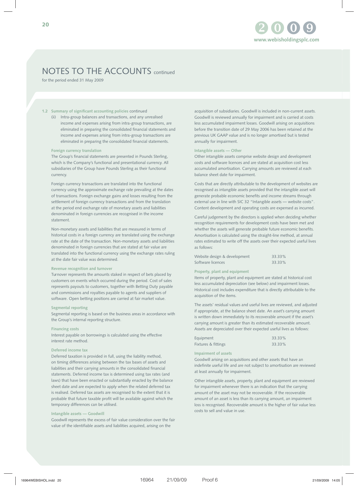

# NOTES TO THE ACCOUNTS continued

for the period ended 31 May 2009

#### **1.2 Summary of significant accounting policies** continued

(ii) Intra-group balances and transactions, and any unrealised income and expenses arising from intra-group transactions, are eliminated in preparing the consolidated financial statements and income and expenses arising from intra-group transactions are eliminated in preparing the consolidated financial statements.

#### **Foreign currency translation**

 The Group's financial statements are presented in Pounds Sterling, which is the Company's functional and presentational currency. All subsidiaries of the Group have Pounds Sterling as their functional currency.

 Foreign currency transactions are translated into the functional currency using the approximate exchange rate prevailing at the dates of transactions. Foreign exchange gains and losses resulting from the settlement of foreign currency transactions and from the translation at the period end exchange rate of monetary assets and liabilities denominated in foreign currencies are recognised in the income statement.

 Non-monetary assets and liabilities that are measured in terms of historical costs in a foreign currency are translated using the exchange rate at the date of the transaction. Non-monetary assets and liabilities denominated in foreign currencies that are stated at fair value are translated into the functional currency using the exchange rates ruling at the date fair value was determined.

#### **Revenue recognition and turnover**

 Turnover represents the amounts staked in respect of bets placed by customers on events which occurred during the period. Cost of sales represents payouts to customers, together with Betting Duty payable and commissions and royalties payable to agents and suppliers of software. Open betting positions are carried at fair market value.

#### **Segmental reporting**

 Segmental reporting is based on the business areas in accordance with the Group's internal reporting structure.

#### **Financing costs**

 Interest payable on borrowings is calculated using the effective interest rate method.

#### **Deferred income tax**

 Deferred taxation is provided in full, using the liability method, on timing differences arising between the tax bases of assets and liabilities and their carrying amounts in the consolidated financial statements. Deferred income tax is determined using tax rates (and laws) that have been enacted or substantially enacted by the balance sheet date and are expected to apply when the related deferred tax is realised. Deferred tax assets are recognised to the extent that it is probable that future taxable profit will be available against which the temporary differences can be utilised.

### **Intangible assets — Goodwill**

 Goodwill represents the excess of fair value consideration over the fair value of the identifiable assets and liabilities acquired, arising on the

acquisition of subsidiaries. Goodwill is included in non-current assets. Goodwill is reviewed annually for impairment and is carried at costs less accumulated impairment losses. Goodwill arising on acquisitions before the transition date of 29 May 2006 has been retained at the previous UK GAAP value and is no longer amortised but is tested annually for impairment.

#### **Intangible assets — Other**

 Other intangible assets comprise website design and development costs and software licences and are stated at acquisition cost less accumulated amortisation. Carrying amounts are reviewed at each balance sheet date for impairment.

 Costs that are directly attributable to the development of websites are recognised as intangible assets provided that the intangible asset will generate probable economic benefits and income streams through external use in line with SIC 32 "Intangible assets — website costs". Content development and operating costs are expensed as incurred.

 Careful judgement by the directors is applied when deciding whether recognition requirements for development costs have been met and whether the assets will generate probable future economic benefits. Amortisation is calculated using the straight-line method, at annual rates estimated to write off the assets over their expected useful lives as follows:

| Website design & development | 33.33% |
|------------------------------|--------|
| Software licences            | 33.33% |

#### **Property, plant and equipment**

 Items of property, plant and equipment are stated at historical cost less accumulated depreciation (see below) and impairment losses. Historical cost includes expenditure that is directly attributable to the acquisition of the items.

 The assets' residual values and useful lives are reviewed, and adjusted if appropriate, at the balance sheet date. An asset's carrying amount is written down immediately to its recoverable amount if the asset's carrying amount is greater than its estimated recoverable amount. Assets are depreciated over their expected useful lives as follows:

| Equipment           | 33.33% |
|---------------------|--------|
| Fixtures & fittings | 33.33% |

#### **Impairment of assets**

 Goodwill arising on acquisitions and other assets that have an indefinite useful life and are not subject to amortisation are reviewed at least annually for impairment.

 Other intangible assets, property, plant and equipment are reviewed for impairment whenever there is an indication that the carrying amount of the asset may not be recoverable. If the recoverable amount of an asset is less than its carrying amount, an impairment loss is recognised. Recoverable amount is the higher of fair value less costs to sell and value in use.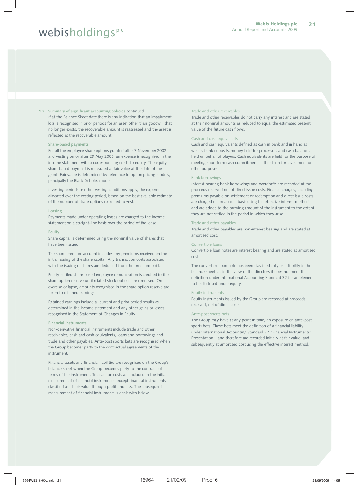#### **1.2 Summary of significant accounting policies** continued

 If at the Balance Sheet date there is any indication that an impairment loss is recognised in prior periods for an asset other than goodwill that no longer exists, the recoverable amount is reassessed and the asset is reflected at the recoverable amount.

#### **Share-based payments**

 For all the employee share options granted after 7 November 2002 and vesting on or after 29 May 2006, an expense is recognised in the income statement with a corresponding credit to equity. The equity share-based payment is measured at fair value at the date of the grant. Fair value is determined by reference to option pricing models, principally the Black–Scholes model.

 If vesting periods or other vesting conditions apply, the expense is allocated over the vesting period, based on the best available estimate of the number of share options expected to vest.

#### **Leasing**

 Payments made under operating leases are charged to the income statement on a straight-line basis over the period of the lease.

#### **Equity**

 Share capital is determined using the nominal value of shares that have been issued.

 The share premium account includes any premiums received on the initial issuing of the share capital. Any transaction costs associated with the issuing of shares are deducted from the premium paid.

 Equity-settled share-based employee remuneration is credited to the share option reserve until related stock options are exercised. On exercise or lapse, amounts recognised in the share option reserve are taken to retained earnings.

 Retained earnings include all current and prior period results as determined in the income statement and any other gains or losses recognised in the Statement of Changes in Equity.

#### **Financial instruments**

 Non-derivative financial instruments include trade and other receivables, cash and cash equivalents, loans and borrowings and trade and other payables. Ante-post sports bets are recognised when the Group becomes party to the contractual agreements of the instrument.

 Financial assets and financial liabilities are recognised on the Group's balance sheet when the Group becomes party to the contractual terms of the instrument. Transaction costs are included in the initial measurement of financial instruments, except financial instruments classified as at fair value through profit and loss. The subsequent measurement of financial instruments is dealt with below.

#### Trade and other receivables

 Trade and other receivables do not carry any interest and are stated at their nominal amounts as reduced to equal the estimated present value of the future cash flows.

#### Cash and cash equivalents

 Cash and cash equivalents defined as cash in bank and in hand as well as bank deposits, money held for processors and cash balances held on behalf of players. Cash equivalents are held for the purpose of meeting short term cash commitments rather than for investment or other purposes.

#### Bank borrowings

 Interest bearing bank borrowings and overdrafts are recorded at the proceeds received net of direct issue costs. Finance charges, including premiums payable on settlement or redemption and direct issue costs are charged on an accrual basis using the effective interest method and are added to the carrying amount of the instrument to the extent they are not settled in the period in which they arise.

#### Trade and other payables

 Trade and other payables are non-interest bearing and are stated at amortised cost.

#### Convertible loans

 Convertible loan notes are interest bearing and are stated at amortised cost.

 The convertible loan note has been classified fully as a liability in the balance sheet, as in the view of the directors it does not meet the definition under International Accounting Standard 32 for an element to be disclosed under equity.

#### Equity instruments

 Equity instruments issued by the Group are recorded at proceeds received, net of direct costs.

#### Ante-post sports bets

 The Group may have at any point in time, an exposure on ante-post sports bets. These bets meet the definition of a financial liability under International Accounting Standard 32 "Financial Instruments: Presentation", and therefore are recorded initially at fair value, and subsequently at amortised cost using the effective interest method.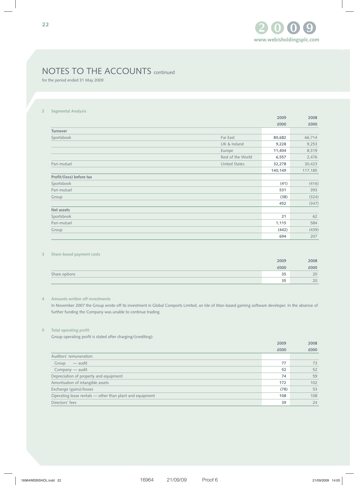

# NOTES TO THE ACCOUNTS continued

for the period ended 31 May 2009

### **2 Segmental Analysis**

|                          |                      | 2009    | 2008    |
|--------------------------|----------------------|---------|---------|
|                          |                      | £000    | £000    |
| <b>Turnover</b>          |                      |         |         |
| Sportsbook               | Far East             | 80,682  | 66,714  |
|                          | UK & Ireland         | 9,228   | 9,253   |
|                          | Europe               | 11,404  | 8,319   |
|                          | Rest of the World    | 6,557   | 2,476   |
| Pari-mutuel              | <b>United States</b> | 32,278  | 30,423  |
|                          |                      | 140,149 | 117,185 |
| Profit/(loss) before tax |                      |         |         |
| Sportsbook               |                      | (41)    | (416)   |
| Pari-mutuel              |                      | 531     | 393     |
| Group                    |                      | (38)    | (324)   |
|                          |                      | 452     | (347)   |
| Net assets               |                      |         |         |
| Sportsbook               |                      | 21      | 62      |
| Pari-mutuel              |                      | 1,115   | 584     |
| Group                    |                      | (442)   | (439)   |
|                          |                      | 694     | 207     |

### **3 Share-based payment costs**

|               | 2009      | 2008 |
|---------------|-----------|------|
|               | £000      | £000 |
| Share options | 25<br>ر ر | 20   |
|               | 25<br>--  | 20   |

### **4 Amounts written off investments**

In November 2007 the Group wrote off its investment in Global Coreports Limited, an Isle of Man-based gaming software developer. In the absence of further funding the Company was unable to continue trading.

#### **5 Total operating profit**

Group operating profit is stated after charging/(crediting):

|                                                          | 2009 | 2008 |
|----------------------------------------------------------|------|------|
|                                                          | £000 | £000 |
| Auditors' remuneration:                                  |      |      |
| — audit<br>Group                                         | 77   | 73   |
| $Company - audit$                                        | 52   | 52   |
| Depreciation of property and equipment                   | 74   | 59   |
| Amortisation of intangible assets                        | 172  | 102  |
| Exchange (gains)/losses                                  | (78) | 53   |
| Operating lease rentals — other than plant and equipment | 108  | 108  |
| Directors' fees                                          | 39   | 24   |
|                                                          |      |      |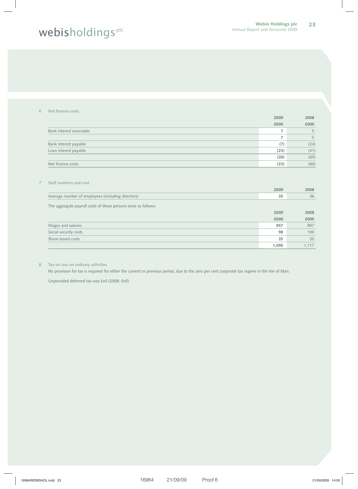### **6 Net finance costs**

|                          | 2009 | 2008           |
|--------------------------|------|----------------|
|                          | £000 | £000           |
| Bank interest receivable |      | 5 <sub>1</sub> |
|                          |      | 5              |
| Bank interest payable    | (7)  | (24)           |
| Loan interest payable    | (23) | (41)           |
|                          | (30) | (65)           |
| Net finance costs        | (23) | (60)           |

### **7 Staff numbers and cost**

|                                                               | 2009  | 2008  |
|---------------------------------------------------------------|-------|-------|
| Average number of employees (including directors)             | 35    | 36    |
| The aggregate payroll costs of these persons were as follows: |       |       |
|                                                               | 2009  | 2008  |
|                                                               | £000  | £000  |
| Wages and salaries                                            | 957   | 997   |
| Social security costs                                         | 98    | 100   |
| Share-based costs                                             | 35    | 20    |
|                                                               | 1,090 | 1.117 |

### **8 Tax on loss on ordinary activities**

No provision for tax is required for either the current or previous period, due to the zero per cent corporate tax regime in the Isle of Man.

Unprovided deferred tax was £nil (2008: £nil).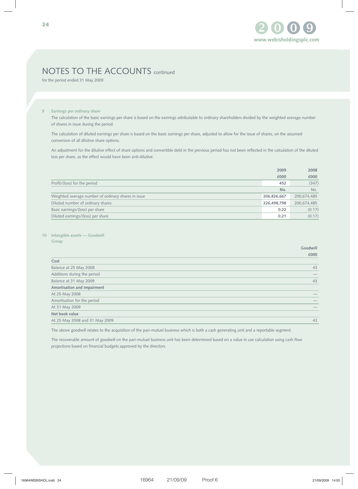

# NOTES TO THE ACCOUNTS continued

for the period ended 31 May 2009

#### **9 Earnings per ordinary share**

The calculation of the basic earnings per share is based on the earnings attributable to ordinary shareholders divided by the weighted average number of shares in issue during the period.

The calculation of diluted earnings per share is based on the basic earnings per share, adjusted to allow for the issue of shares, on the assumed conversion of all dilutive share options.

An adjustment for the dilutive effect of share options and convertible debt in the previous period has not been reflected in the calculation of the diluted loss per share, as the effect would have been anti-dilutive.

|                                                     | 2009        | 2008        |
|-----------------------------------------------------|-------------|-------------|
|                                                     | £000        | £000        |
| Profit/(loss) for the period                        | 452         | (347)       |
|                                                     | No.         | No.         |
| Weighted average number of ordinary shares in issue | 206,826,667 | 200,674,485 |
| Diluted number of ordinary shares                   | 226,498,798 | 200.674.485 |
| Basic earnings/(loss) per share                     | 0.22        | (0.17)      |
| Diluted earnings/(loss) per share                   | 0.21        | (0.17)      |

#### **10 Intangible assets — Goodwill**

 **Group** 

|                                | Goodwill |
|--------------------------------|----------|
|                                | £000     |
| Cost                           |          |
| Balance at 25 May 2008         | 43       |
| Additions during the period    |          |
| Balance at 31 May 2009         | 43       |
| Amortisation and impairment    |          |
| At 25 May 2008                 |          |
| Amortisation for the period    | $-$      |
| At 31 May 2009                 | ___      |
| Net book value                 |          |
| At 25 May 2008 and 31 May 2009 | 43       |
|                                |          |

The above goodwill relates to the acquisition of the pari-mutuel business which is both a cash generating unit and a reportable segment.

The recoverable amount of goodwill on the pari-mutuel business unit has been determined based on a value in use calculation using cash flow projections based on financial budgets approved by the directors.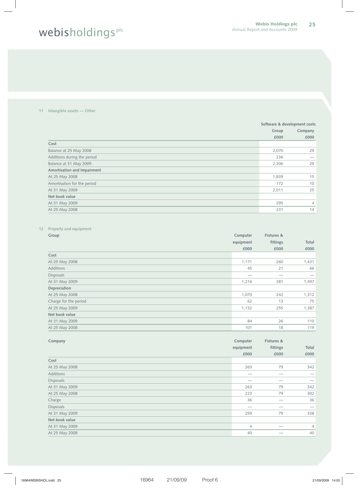### **11 Intangible assets — Other**

|                             |       | Software & development costs |  |
|-----------------------------|-------|------------------------------|--|
|                             | Group | Company                      |  |
|                             | £000  | £000                         |  |
| Cost                        |       |                              |  |
| Balance at 25 May 2008      | 2,070 | 29                           |  |
| Additions during the period | 236   |                              |  |
| Balance at 31 May 2009      | 2,306 | 29                           |  |
| Amortisation and Impairment |       |                              |  |
| At 25 May 2008              | 1,839 | 15                           |  |
| Amortisation for the period | 172   | 10                           |  |
| At 31 May 2009              | 2,011 | 25                           |  |
| Net book value              |       |                              |  |
| At 31 May 2009              | 295   | $\overline{4}$               |  |
| At 25 May 2008              | 231   | 14                           |  |

## **12 Property and equipment**

| Group                 | Computer  | Fixtures & |       |
|-----------------------|-----------|------------|-------|
|                       | equipment | fittings   | Total |
|                       | £000      | £000       | £000  |
| Cost                  |           |            |       |
| At 25 May 2008        | 1,171     | 260        | 1,431 |
| Additions             | 45        | 21         | 66    |
| Disposals             | --        |            | –     |
| At 31 May 2009        | 1,216     | 281        | 1,497 |
| Depreciation          |           |            |       |
| At 25 May 2008        | 1,070     | 242        | 1,312 |
| Charge for the period | 62        | 13         | 75    |
| At 25 May 2009        | 1,132     | 255        | 1,387 |
| Net book value        |           |            |       |
| At 31 May 2009        | 84        | 26         | 110   |
| At 25 May 2008        | 101       | 18         | 119   |

| Company          | Computer       | Fixtures & |                |
|------------------|----------------|------------|----------------|
|                  | equipment      | fittings   | Total          |
|                  | £000           | £000       | £000           |
| Cost             |                |            |                |
| At 25 May 2008   | 263            | 79         | 342            |
| Additions        | _              |            |                |
| <b>Disposals</b> | --             |            |                |
| At 31 May 2009   | 263            | 79         | 342            |
| At 25 May 2008   | 223            | 79         | 302            |
| Charge           | 36             |            | 36             |
| <b>Disposals</b> | --             |            |                |
| At 31 May 2009   | 259            | 79         | 338            |
| Net book value   |                |            |                |
| At 31 May 2009   | $\overline{4}$ |            | $\overline{4}$ |
| At 25 May 2008   | 40             |            | 40             |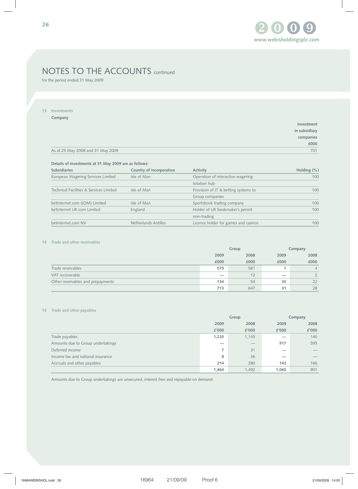

# NOTES TO THE ACCOUNTS continued

for the period ended 31 May 2009

| 13 | Investments                       |               |
|----|-----------------------------------|---------------|
|    | Company                           |               |
|    |                                   | Investment    |
|    |                                   | in subsidiary |
|    |                                   | companies     |
|    |                                   | £000          |
|    | As at 25 May 2008 and 31 May 2009 | 701           |
|    |                                   |               |

#### **Details of investments at 31 May 2009 are as follows:**

| <b>Subsidiaries</b>                     | Country of incorporation | Activity                             | Holding $(\%)$ |
|-----------------------------------------|--------------------------|--------------------------------------|----------------|
| European Wagering Services Limited      | Isle of Man              | Operation of interactive wagering    | 100            |
|                                         |                          | totaliser hub                        |                |
| Technical Facilities & Services Limited | Isle of Man              | Provision of IT & betting systems to | 100            |
|                                         |                          | Group companies                      |                |
| betinternet.com (IOM) Limited           | Isle of Man              | Sportsbook trading company           | 100            |
| betinternet UK.com Limited              | England                  | Holder of UK bookmaker's permit      | 100            |
|                                         |                          | non-trading                          |                |
| betinternet.com NV                      | Netherlands Antilles     | Licence holder for games and casinos | 100            |

### **14 Trade and other receivables**

|                                   | Group                    |      |      | Company        |  |
|-----------------------------------|--------------------------|------|------|----------------|--|
|                                   | 2009                     | 2008 | 2009 | 2008           |  |
|                                   | £000                     | £000 | £000 | £000           |  |
| Trade receivables                 | 579                      | 581  |      | $\overline{4}$ |  |
| VAT recoverable                   | $\overline{\phantom{a}}$ | 12   | _    |                |  |
| Other receivables and prepayments | 134                      | 54   | 30   | 22             |  |
|                                   | 713                      | 647  | 31   | 28             |  |

### **15 Trade and other payables**

|                                   | Group                    |                 |       | Company |  |
|-----------------------------------|--------------------------|-----------------|-------|---------|--|
|                                   | 2009                     | 2008            | 2009  | 2008    |  |
|                                   | £'000                    | £'000           | £'000 | £'000   |  |
| Trade payables                    | 1,235                    | 1,145           |       | 140     |  |
| Amounts due to Group undertakings | $\overline{\phantom{a}}$ | $\qquad \qquad$ | 917   | 595     |  |
| Deferred income                   | 7                        | 31              |       |         |  |
| Income tax and national insurance | 8                        | 36              |       |         |  |
| Accruals and other payables       | 214                      | 280             | 143   | 166     |  |
|                                   | 1.464                    | 1.492           | 1,060 | 901     |  |

Amounts due to Group undertakings are unsecured, interest free and repayable on demand.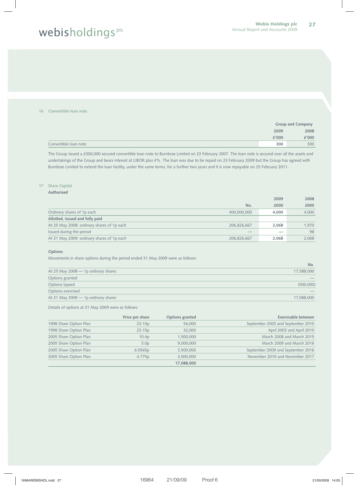#### **16 Convertible loan note**

|                       | <b>Group and Company</b> |       |
|-----------------------|--------------------------|-------|
|                       | 2009                     | 2008  |
|                       | £'000                    | £'000 |
| Convertible loan note | 300                      | 300   |

The Group issued a £300,000 secured convertible loan note to Burnbrae Limited on 23 February 2007. The loan note is secured over all the assets and undertakings of the Group and bears interest at LIBOR plus 4%. The loan was due to be repaid on 23 February 2009 but the Group has agreed with Burnbrae Limited to extend the loan facility, under the same terms, for a further two years and it is now repayable on 25 February 2011.

### **17 Share Capital**

#### **Authorised**

|                                            |             | 2009  | 2008  |
|--------------------------------------------|-------------|-------|-------|
|                                            | No.         | £000  | £000  |
| Ordinary shares of 1p each                 | 400.000.000 | 4.000 | 4.000 |
| Allotted, issued and fully paid            |             |       |       |
| At 25 May 2008: ordinary shares of 1p each | 206.826.667 | 2.068 | 1.970 |
| Issued during the period                   |             |       | 98    |
| At 31 May 2009: ordinary shares of 1p each | 206.826.667 | 2.068 | 2.068 |

#### **Options**

Movements in share options during the period ended 31 May 2009 were as follows:

|                                     | No.        |
|-------------------------------------|------------|
| At 25 May 2008 – 1p ordinary shares | 17,588,000 |
| Options granted                     |            |
| Options lapsed                      | (500,000)  |
| Options exercised                   |            |
| At 31 May 2009 – 1p ordinary shares | 17,088,000 |

Details of options at 31 May 2009 were as follows:

|                        | Price per share   | Options granted | Exercisable between               |
|------------------------|-------------------|-----------------|-----------------------------------|
| 1998 Share Option Plan | 23.15p            | 56,000          | September 2003 and September 2010 |
| 1998 Share Option Plan | 23.15p            | 32,000          | April 2003 and April 2010         |
| 2005 Share Option Plan | 10.4 <sub>p</sub> | 1,500,000       | March 2008 and March 2015         |
| 2005 Share Option Plan | 5.0 <sub>D</sub>  | 9,000,000       | March 2009 and March 2016         |
| 2005 Share Option Plan | 6.0565p           | 3,500,000       | September 2009 and September 2016 |
| 2005 Share Option Plan | 4.775p            | 3,000,000       | November 2010 and November 2017   |
|                        |                   | 17,088,000      |                                   |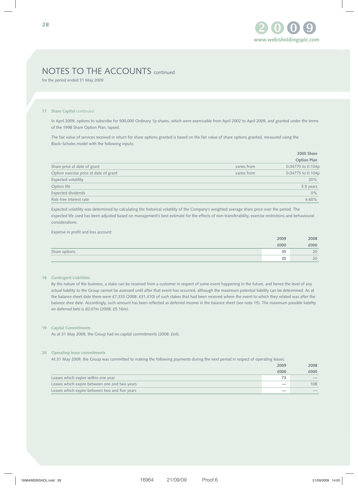

# NOTES TO THE ACCOUNTS continued

for the period ended 31 May 2009

#### 17 Share Capital continued

In April 2009, options to subscribe for 500,000 Ordinary 1p shares, which were exercisable from April 2002 to April 2009, and granted under the terms of the 1998 Share Option Plan, lapsed.

The fair value of services received in return for share options granted is based on the fair value of share options granted, measured using the Black–Scholes model with the following inputs:

|                                        |             | 2005 Share        |
|----------------------------------------|-------------|-------------------|
|                                        |             | Option Plan       |
| Share price at date of grant           | varies from | 0.04775 to 0.104p |
| Option exercise price at date of grant | varies from | 0.04775 to 0.104p |
| Expected volatility                    |             | 20%               |
| Option life                            |             | 3.5 years         |
| <b>Expected dividends</b>              |             | $0\%$             |
| Risk-free interest rate                |             | 4.60%             |

Expected volatility was determined by calculating the historical volatility of the Company's weighted average share price over the period. The expected life used has been adjusted based on management's best estimate for the effects of non-transferability, exercise restrictions and behavioural considerations.

Expense in profit and loss account:

|               | 2009      | 2008 |
|---------------|-----------|------|
|               | £000      | £000 |
| Share options | $-$<br>35 | 20   |
|               | 25<br>رر  | 20   |

#### **18 Contingent Liabilities**

By the nature of the business, a stake can be received from a customer in respect of some event happening in the future, and hence the level of any actual liability to the Group cannot be assessed until after that event has occurred, although the maximum potential liability can be determined. As at the balance sheet date there were £7,333 (2008: £31,410) of such stakes that had been received where the event to which they related was after the balance shee date. Accordingly, such amount has been reflected as deferred income in the balance sheet (see note 15). The maximum possible liability on deferred bets is £0.07m (2008: £5.16m).

#### **19 Capital Commitments**

As at 31 May 2009, the Group had no capital commitments (2008: £nil).

#### **20 Operating lease commitments**

At 31 May 2009, the Group was committed to making the following payments during the next period in respect of operating leases:

|                                                | 2009 | 2008 |
|------------------------------------------------|------|------|
|                                                | £000 | £000 |
| Leases which expire within one year            |      |      |
| Leases which expire between one and two years  |      | 108  |
| Leases which expire between two and five years |      |      |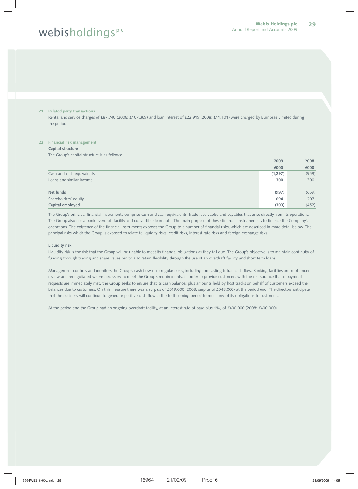#### **21 Related party transactions**

Rental and service charges of £87,740 (2008: £107,369) and loan interest of £22,919 (2008: £41,101) were charged by Burnbrae Limited during the period.

#### **22 Financial risk management**

#### **Capital structure**

The Group's capital structure is as follows:

|                           | 2009     | 2008  |
|---------------------------|----------|-------|
|                           | £000     | £000  |
| Cash and cash equivalents | (1, 297) | (959) |
| Loans and similar income  | 300      | 300   |
|                           |          |       |
| Net funds                 | (997)    | (659) |
| Shareholders' equity      | 694      | 207   |
| Capital employed          | (303)    | (452) |

The Group's principal financial instruments comprise cash and cash equivalents, trade receivables and payables that arise directly from its operations. The Group also has a bank overdraft facility and convertible loan note. The main purpose of these financial instruments is to finance the Company's operations. The existence of the financial instruments exposes the Group to a number of financial risks, which are described in more detail below. The principal risks which the Group is exposed to relate to liquidity risks, credit risks, interest rate risks and foreign exchange risks.

#### **Liquidity risk**

Liquidity risk is the risk that the Group will be unable to meet its financial obligations as they fall due. The Group's objective is to maintain continuity of funding through trading and share issues but to also retain flexibility through the use of an overdraft facility and short term loans.

Management controls and monitors the Group's cash flow on a regular basis, including forecasting future cash flow. Banking facilities are kept under review and renegotiated where necessary to meet the Group's requirements. In order to provide customers with the reassurance that repayment requests are immediately met, the Group seeks to ensure that its cash balances plus amounts held by host tracks on behalf of customers exceed the balances due to customers. On this measure there was a surplus of £519,000 (2008: surplus of £548,000) at the period end. The directors anticipate that the business will continue to generate positive cash flow in the forthcoming period to meet any of its obligations to customers.

At the period end the Group had an ongoing overdraft facility, at an interest rate of base plus 1%, of £400,000 (2008: £400,000).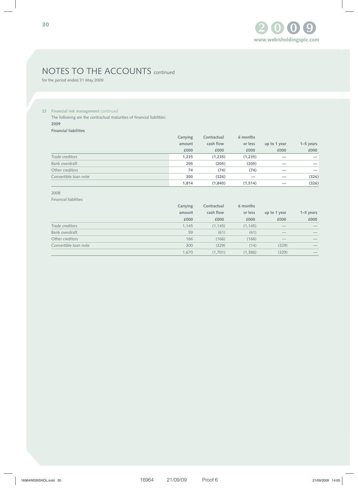

# NOTES TO THE ACCOUNTS continued

for the period ended 31 May 2009

#### **22 Financial risk management** continued

The following are the contractual maturities of financial liabilities:

**2009 Financial liabilities**

|                       | Carrying | Contractual | 6 months |              |             |
|-----------------------|----------|-------------|----------|--------------|-------------|
|                       | amount   | cash flow   | or less  | up to 1 year | $1-5$ years |
|                       | £000     | £000        | £000     | £000         | £000        |
| Trade creditors       | 1,235    | (1,235)     | (1,235)  |              |             |
| Bank overdraft        | 205      | (205)       | (205)    |              |             |
| Other creditors       | 74       | (74)        | (74)     |              |             |
| Convertible loan note | 300      | (326)       |          |              | (326)       |
|                       | 1,814    | (1, 840)    | (1,514)  |              | (326)       |

#### 2008

Financial liabilities

|                       | Carrying | Contractual | 6 months |              |             |
|-----------------------|----------|-------------|----------|--------------|-------------|
|                       | amount   | cash flow   | or less  | up to 1 year | $1-5$ years |
|                       | £000     | £000        | £000     | £000         | £000        |
| Trade creditors       | 1,145    | (1, 145)    | (1, 145) | ___          |             |
| Bank overdraft        | 59       | (61)        | (61)     | $-$          |             |
| Other creditors       | 166      | (166)       | (166)    |              |             |
| Convertible loan note | 300      | (329)       | (14)     | (329)        |             |
|                       | 1,670    | (1,701)     | (1,386)  | (329)        |             |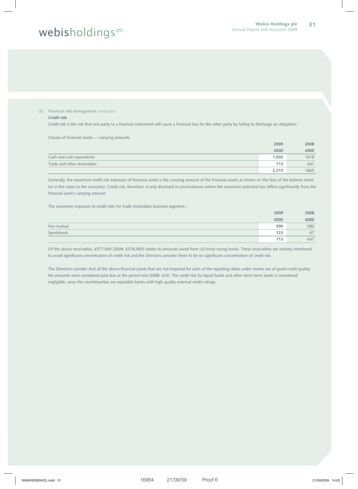#### **22 Financial risk management** continued

#### **Credit risk**

Credit risk is the risk that one party to a financial instrument will cause a financial loss for the other party by failing to discharge an obligation.

Classes of financial assets — carrying amounts

|                             | 2009  | 2008 |
|-----------------------------|-------|------|
|                             | £000  | £000 |
| Cash and cash equivalents   | 1,502 | 1018 |
| Trade and other receivables | 713   | 647  |
|                             | 2,215 | 1665 |

Generally, the maximum credit risk exposure of financial assets is the carrying amount of the financial assets as shown on the face of the balance sheet (or in the notes to the accounts). Credit risk, therefore, is only disclosed in circumstances where the maximum potential loss differs significantly from the financial asset's carrying amount.

The maximum exposure to credit risks for trade receivables business segment:–

|             | 2009 | 2008 |
|-------------|------|------|
|             | £000 | £000 |
| Pari-mutuel | 590  | 580  |
| Sportsbook  | 123  | 67   |
|             | 713  | 647  |

Of the above receivables, £577,000 (2008: £578,000) relates to amounts owed from US horse racing tracks. These receivables are actively monitored to avoid significant concentration of credit risk and the Directors consider there to be no significant concentration of credit risk.

The Directors consider that all the above financial assets that are not impaired for each of the reporting dates under review are of good credit quality. No amounts were considered past due at the period end (2008: £nil). The credit risk for liquid funds and other short-term assets is considered negligible, since the counterparties are reputable banks with high quality external credit ratings.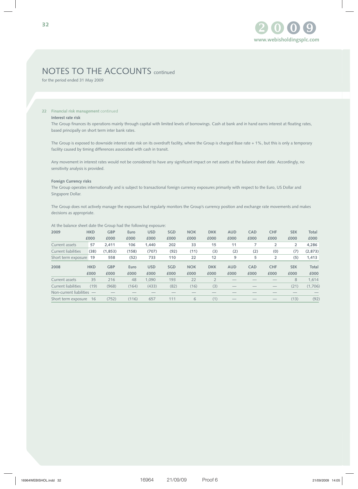

# NOTES TO THE ACCOUNTS continued

for the period ended 31 May 2009

#### **22 Financial risk management** continued

#### **Interest rate risk**

The Group finances its operations mainly through capital with limited levels of borrowings. Cash at bank and in hand earns interest at floating rates, based principally on short term inter bank rates.

The Group is exposed to downside interest rate risk on its overdraft facility, where the Group is charged Base rate + 1%, but this is only a temporary facility caused by timing differences associated with cash in transit.

Any movement in interest rates would not be considered to have any significant impact on net assets at the balance sheet date. Accordingly, no sensitivity analysis is provided.

#### **Foreign Currency risks**

The Group operates internationally and is subject to transactional foreign currency exposures primarily with respect to the Euro, US Dollar and Singapore Dollar.

The Group does not actively manage the exposures but regularly monitors the Group's currency position and exchange rate movements and makes decisions as appropriate.

| 2009                      | <b>HKD</b> | <b>GBP</b> | Euro  | <b>USD</b> | <b>SGD</b> | <b>NOK</b> | <b>DKK</b> | <b>AUD</b> | <b>CAD</b> | <b>CHF</b>              | <b>SEK</b>     | Total        |
|---------------------------|------------|------------|-------|------------|------------|------------|------------|------------|------------|-------------------------|----------------|--------------|
|                           | £000       | £000       | £000  | £000       | £000       | £000       | £000       | £000       | £000       | £000                    | £000           | £000         |
| Current assets            | 57         | 2.411      | 106   | 1.440      | 202        | 33         | 15         | 11         |            | $\overline{\mathbf{2}}$ | $\overline{2}$ | 4,286        |
| Current liabilities       | (38)       | (1,853)    | (158) | (707)      | (92)       | (11)       | (3)        | (2)        | (2)        | (0)                     | (7)            | (2,873)      |
| Short term exposure       | 19         | 558        | (52)  | 733        | 110        | 22         | 12         | 9          | 5          | 2                       | (5)            | 1,413        |
| 2008                      | <b>HKD</b> | <b>GBP</b> | Euro  | <b>USD</b> | <b>SGD</b> | <b>NOK</b> | <b>DKK</b> | <b>AUD</b> | <b>CAD</b> | <b>CHF</b>              | <b>SEK</b>     | <b>Total</b> |
|                           | £000       | £000       | £000  | £000       | £000       | £000       | £000       | £000       | £000       | £000                    | £000           | £000         |
| Current assets            | 35         | 216        | 48    | 1.090      | 193        | 22         |            |            |            |                         | 8              | 1,614        |
| Current liabilities       | (19)       | (968)      | (164) | (433)      | (82)       | (16)       | (3)        |            |            |                         | (21)           | (1,706)      |
| Non-current liabilities - |            |            |       |            |            |            |            |            |            |                         |                |              |
| Short term exposure       | 16         | (752)      | (116) | 657        | 111        | 6          | (1)        |            |            |                         | (13)           | (92)         |

### At the balance sheet date the Group had the following exposure: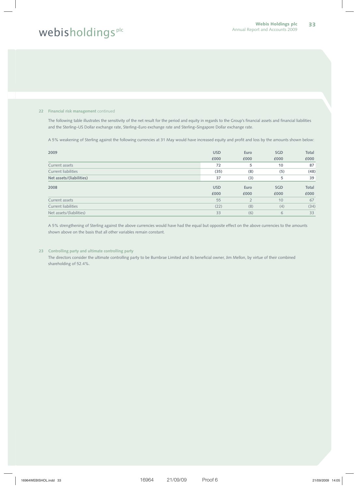#### **22 Financial risk management** continued

The following table illustrates the sensitivity of the net result for the period and equity in regards to the Group's financial assets and financial liabilities and the Sterling–US Dollar exchange rate, Sterling–Euro exchange rate and Sterling–Singapore Dollar exchange rate.

A 5% weakening of Sterling against the following currencies at 31 May would have increased equity and profit and loss by the amounts shown below:

| 2009                     | <b>USD</b> | Euro           | <b>SGD</b> | Total |
|--------------------------|------------|----------------|------------|-------|
|                          | £000       | £000           | £000       | £000  |
| Current assets           | 72         | 5              | 10         | 87    |
| Current liabilities      | (35)       | (8)            | (5)        | (48)  |
| Net assets/(liabilities) | 37         | (3)            | 5          | 39    |
| 2008                     | <b>USD</b> | Euro           | <b>SGD</b> | Total |
|                          | £000       | £000           | £000       | £000  |
| Current assets           | 55         | $\overline{2}$ | 10         | 67    |
| Current liabilities      | (22)       | (8)            | (4)        | (34)  |
| Net assets/(liabilities) | 33         | (6)            | 6          | 33    |
|                          |            |                |            |       |

A 5% strengthening of Sterling against the above currencies would have had the equal but opposite effect on the above currencies to the amounts shown above on the basis that all other variables remain constant.

#### **23 Controlling party and ultimate controlling party**

The directors consider the ultimate controlling party to be Burnbrae Limited and its beneficial owner, Jim Mellon, by virtue of their combined shareholding of 52.4%.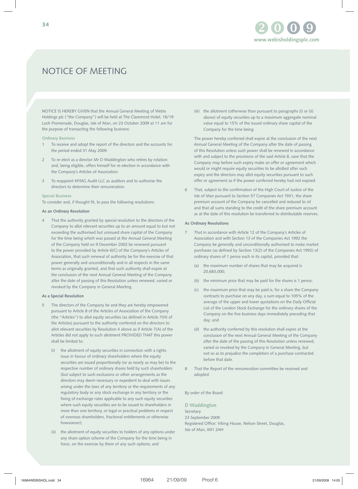

# NOTICE OF MEETING

NOTICE IS HEREBY GIVEN that the Annual General Meeting of Webis Holdings plc ("the Company") will be held at The Claremont Hotel, 18/19 Loch Promenade, Douglas, Isle of Man, on 23 October 2009 at 11 am for the purpose of transacting the following business:

#### **Ordinary Business**

- 1 To receive and adopt the report of the directors and the accounts for the period ended 31 May 2009.
- 2 To re-elect as a director Mr D Waddington who retires by rotation and, being eligible, offers himself for re-election in accordance with the Company's Articles of Association.
- 3 To reappoint KPMG Audit LLC as auditors and to authorise the directors to determine their remuneration.

#### **Special Business**

To consider and, if thought fit, to pass the following resolutions:

#### **As an Ordinary Resolution**

4 That the authority granted by special resolution to the directors of the Company to allot relevant securities up to an amount equal to but not exceeding the authorised but unissued share capital of the Company for the time being which was passed at the Annual General Meeting of the Company held on 9 December 2002 be renewed pursuant to the power provided by Article 6(C) of the Company's Articles of Association, that such renewal of authority be for the exercise of that power generally and unconditionally and in all respects in the same terms as originally granted, and that such authority shall expire at the conclusion of the next Annual General Meeting of the Company after the date of passing of this Resolution unless renewed, varied or revoked by the Company in General Meeting.

#### **As a Special Resolution**

- 5 The directors of the Company be and they are hereby empowered pursuant to Article 8 of the Articles of Association of the Company (the "Articles") to allot equity securities (as defined in Article 7(H) of the Articles) pursuant to the authority conferred on the directors to allot relevant securities by Resolution 4 above as if Article 7(A) of the Articles did not apply to such allotment PROVIDED THAT this power shall be limited to:
	- (i) the allotment of equity securities in connection with a rights issue in favour of ordinary shareholders where the equity securities are issued proportionally (or as nearly as may be) to the respective number of ordinary shares held by such shareholders (but subject to such exclusions or other arrangements as the directors may deem necessary or expedient to deal with issues arising under the laws of any territory or the requirements of any regulatory body or any stock exchange in any territory or the fixing of exchange rates applicable to any such equity securities where such equity securities are to be issued to shareholders in more than one territory, or legal or practical problems in respect of overseas shareholders, fractional entitlements or otherwise howsoever);
	- (ii) the allotment of equity securities to holders of any options under any share option scheme of the Company for the time being in force, on the exercise by them of any such options; and

(iii) the allotment (otherwise than pursuant to paragraphs (i) or (ii) above) of equity securities up to a maximum aggregate nominal value equal to 15% of the issued ordinary share capital of the Company for the time being.

 The power hereby conferred shall expire at the conclusion of the next Annual General Meeting of the Company after the date of passing of this Resolution unless such power shall be renewed in accordance with and subject to the provisions of the said Article 8, save that the Company may before such expiry make an offer or agreement which would or might require equity securities to be allotted after such expiry and the directors may allot equity securities pursuant to such offer or agreement as if the power conferred hereby had not expired.

6 That, subject to the confirmation of the High Court of Justice of the Isle of Man pursuant to Section 57 Companies Act 1931, the share premium account of the Company be cancelled and reduced to nil and that all sums standing to the credit of the share premium account as at the date of this resolution be transferred to distributable reserves.

#### **As Ordinary Resolutions**

- 7 That in accordance with Article 12 of the Company's Articles of Association and with Section 13 of the Companies Act 1992 the Company be generally and unconditionally authorised to make market purchases (as defined by Section 13(2) of the Companies Act 1992) of ordinary shares of 1 pence each in its capital, provided that:
	- (a) the maximum number of shares that may be acquired is 20,683,000;
	- (b) the minimum price that may be paid for the shares is 1 pence;
	- (c) the maximum price that may be paid is, for a share the Company contracts to purchase on any day, a sum equal to 105% of the average of the upper and lower quotations on the Daily Official List of the London Stock Exchange for the ordinary shares of the Company on the five business days immediately preceding that day; and
	- (d) the authority conferred by this resolution shall expire at the conclusion of the next Annual General Meeting of the Company after the date of the passing of this Resolution unless renewed, varied or revoked by the Company in General Meeting, but not so as to prejudice the completion of a purchase contracted before that date.
- 8 That the Report of the remuneration committee be received and adopted.

#### By order of the Board

**D Waddington Secretary** 23 September 2009 Registered Office: Viking House, Nelson Street, Douglas, Isle of Man, IM1 2AH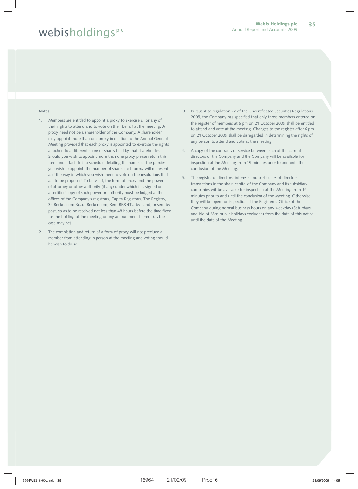#### **Notes**

- 1. Members are entitled to appoint a proxy to exercise all or any of their rights to attend and to vote on their behalf at the meeting. A proxy need not be a shareholder of the Company. A shareholder may appoint more than one proxy in relation to the Annual General Meeting provided that each proxy is appointed to exercise the rights attached to a different share or shares held by that shareholder. Should you wish to appoint more than one proxy please return this form and attach to it a schedule detailing the names of the proxies you wish to appoint, the number of shares each proxy will represent and the way in which you wish them to vote on the resolutions that are to be proposed. To be valid, the form of proxy and the power of attorney or other authority (if any) under which it is signed or a certified copy of such power or authority must be lodged at the offices of the Company's registrars, Capita Registrars, The Registry, 34 Beckenham Road, Beckenham, Kent BR3 4TU by hand, or sent by post, so as to be received not less than 48 hours before the time fixed for the holding of the meeting or any adjournment thereof (as the case may be).
- 2. The completion and return of a form of proxy will not preclude a member from attending in person at the meeting and voting should he wish to do so.
- 3. Pursuant to regulation 22 of the Uncertificated Securities Regulations 2005, the Company has specified that only those members entered on the register of members at 6 pm on 21 October 2009 shall be entitled to attend and vote at the meeting. Changes to the register after 6 pm on 21 October 2009 shall be disregarded in determining the rights of any person to attend and vote at the meeting.
- 4. A copy of the contracts of service between each of the current directors of the Company and the Company will be available for inspection at the Meeting from 15 minutes prior to and until the conclusion of the Meeting.
- 5. The register of directors' interests and particulars of directors' transactions in the share capital of the Company and its subsidiary companies will be available for inspection at the Meeting from 15 minutes prior to and until the conclusion of the Meeting. Otherwise they will be open for inspection at the Registered Office of the Company during normal business hours on any weekday (Saturdays and Isle of Man public holidays excluded) from the date of this notice until the date of the Meeting.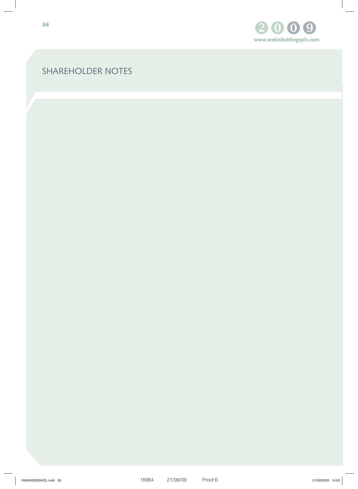

# SHAREHOLDER NOTES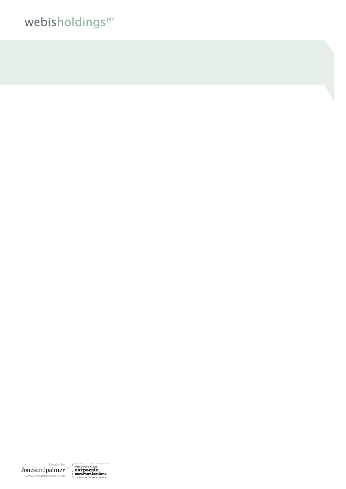Created by www.jonesandpalmer.co.uk